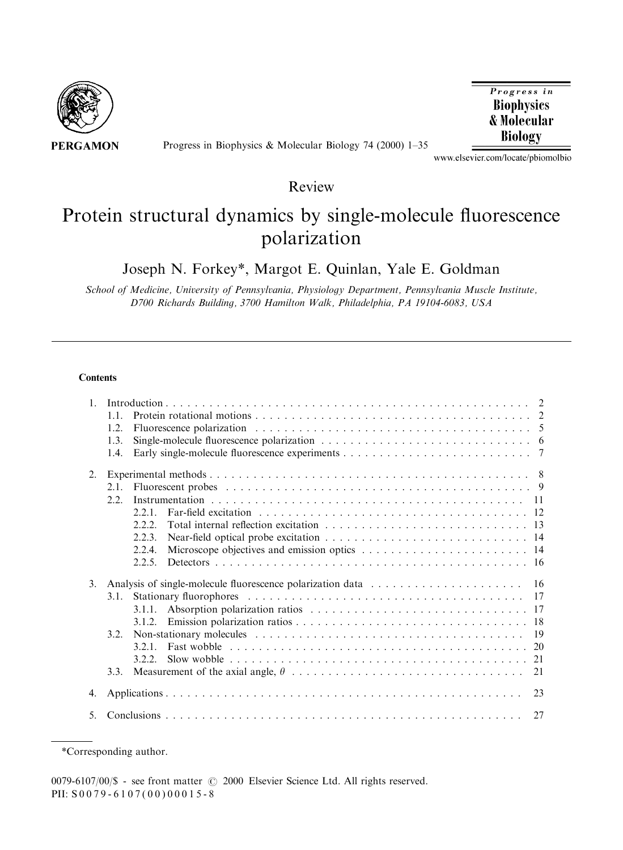

Progress in Biophysics & Molecular Biology 74 (2000) 1–35



www.elsevier.com/locate/pbiomolbio

# Review

# Protein structural dynamics by single-molecule fluorescence polarization

Joseph N. Forkey\*, Margot E. Quinlan, Yale E. Goldman

School of Medicine, University of Pennsylvania, Physiology Department, Pennsylvania Muscle Institute, D700 Richards Building, 3700 Hamilton Walk, Philadelphia, PA 19104-6083, USA

#### **Contents**

| $\mathbf{1}$   |                                                                                                                               |
|----------------|-------------------------------------------------------------------------------------------------------------------------------|
|                | 11                                                                                                                            |
|                | 1.2.                                                                                                                          |
|                | Single-molecule fluorescence polarization $\dots \dots \dots \dots \dots \dots \dots \dots \dots \dots \dots \dots$ 6<br>1.3. |
|                | 1.4.                                                                                                                          |
|                |                                                                                                                               |
| 2.             |                                                                                                                               |
|                | 2.1                                                                                                                           |
|                | 2.2.                                                                                                                          |
|                | Far-field excitation $\ldots \ldots \ldots \ldots \ldots \ldots \ldots \ldots \ldots \ldots \ldots \ldots$<br>221             |
|                | 222                                                                                                                           |
|                | 2.2.3                                                                                                                         |
|                | 2.2.4                                                                                                                         |
|                | 2.2.5                                                                                                                         |
| 3 <sub>1</sub> |                                                                                                                               |
|                |                                                                                                                               |
|                |                                                                                                                               |
|                | 3.1.1                                                                                                                         |
|                | 3.1.2.                                                                                                                        |
|                | 3.2                                                                                                                           |
|                | 3.2.1                                                                                                                         |
|                | 322                                                                                                                           |
|                | 3.3.                                                                                                                          |
| 4.             | 23                                                                                                                            |
| .5             | 27                                                                                                                            |

\*Corresponding author.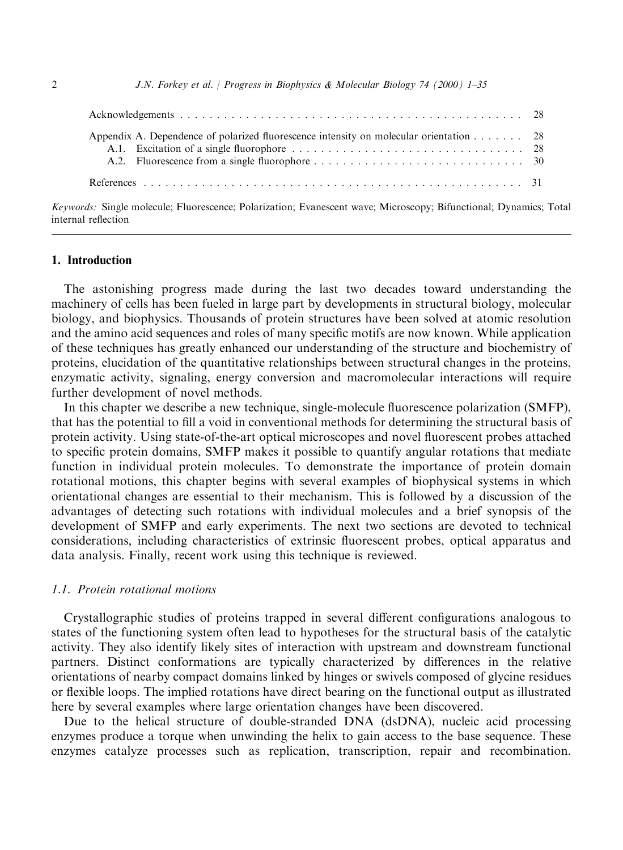| Appendix A. Dependence of polarized fluorescence intensity on molecular orientation 28 |  |
|----------------------------------------------------------------------------------------|--|
|                                                                                        |  |
|                                                                                        |  |

Keywords: Single molecule; Fluorescence; Polarization; Evanescent wave; Microscopy; Bifunctional; Dynamics; Total internal reflection

# 1. Introduction

The astonishing progress made during the last two decades toward understanding the machinery of cells has been fueled in large part by developments in structural biology, molecular biology, and biophysics. Thousands of protein structures have been solved at atomic resolution and the amino acid sequences and roles of many specific motifs are now known. While application of these techniques has greatly enhanced our understanding of the structure and biochemistry of proteins, elucidation of the quantitative relationships between structural changes in the proteins, enzymatic activity, signaling, energy conversion and macromolecular interactions will require further development of novel methods.

In this chapter we describe a new technique, single-molecule fluorescence polarization (SMFP), that has the potential to fill a void in conventional methods for determining the structural basis of protein activity. Using state-of-the-art optical microscopes and novel fluorescent probes attached to specific protein domains, SMFP makes it possible to quantify angular rotations that mediate function in individual protein molecules. To demonstrate the importance of protein domain rotational motions, this chapter begins with several examples of biophysical systems in which orientational changes are essential to their mechanism. This is followed by a discussion of the advantages of detecting such rotations with individual molecules and a brief synopsis of the development of SMFP and early experiments. The next two sections are devoted to technical considerations, including characteristics of extrinsic fluorescent probes, optical apparatus and data analysis. Finally, recent work using this technique is reviewed.

#### 1.1. Protein rotational motions

Crystallographic studies of proteins trapped in several different configurations analogous to states of the functioning system often lead to hypotheses for the structural basis of the catalytic activity. They also identify likely sites of interaction with upstream and downstream functional partners. Distinct conformations are typically characterized by differences in the relative orientations of nearby compact domains linked by hinges or swivels composed of glycine residues or flexible loops. The implied rotations have direct bearing on the functional output as illustrated here by several examples where large orientation changes have been discovered.

Due to the helical structure of double-stranded DNA (dsDNA), nucleic acid processing enzymes produce a torque when unwinding the helix to gain access to the base sequence. These enzymes catalyze processes such as replication, transcription, repair and recombination.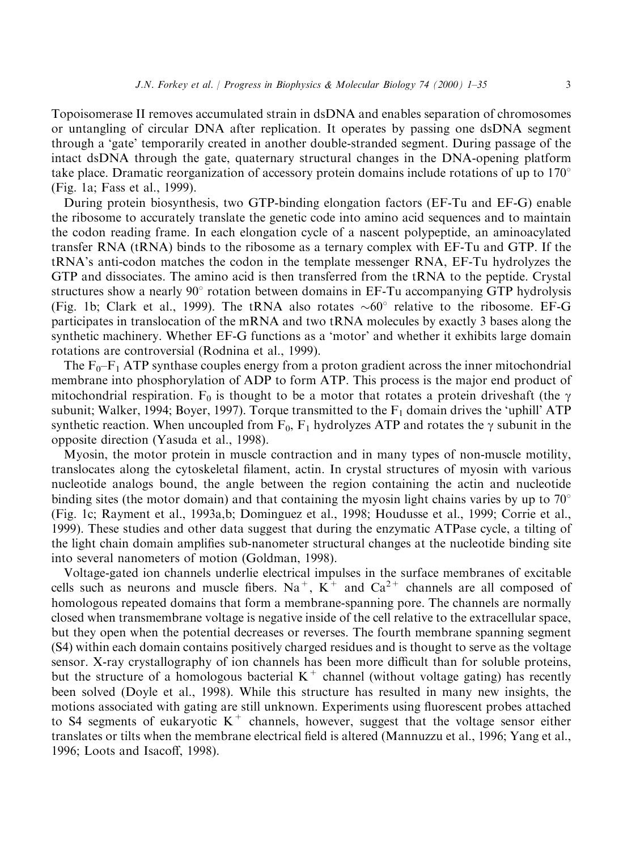Topoisomerase II removes accumulated strain in dsDNA and enables separation of chromosomes or untangling of circular DNA after replication. It operates by passing one dsDNA segment through a 'gate' temporarily created in another double-stranded segment. During passage of the intact dsDNA through the gate, quaternary structural changes in the DNA-opening platform take place. Dramatic reorganization of accessory protein domains include rotations of up to  $170^{\circ}$ (Fig. 1a; Fass et al., 1999).

During protein biosynthesis, two GTP-binding elongation factors (EF-Tu and EF-G) enable the ribosome to accurately translate the genetic code into amino acid sequences and to maintain the codon reading frame. In each elongation cycle of a nascent polypeptide, an aminoacylated transfer RNA (tRNA) binds to the ribosome as a ternary complex with EF-Tu and GTP. If the tRNA's anti-codon matches the codon in the template messenger RNA, EF-Tu hydrolyzes the GTP and dissociates. The amino acid is then transferred from the tRNA to the peptide. Crystal structures show a nearly  $90^{\circ}$  rotation between domains in EF-Tu accompanying GTP hydrolysis (Fig. 1b; Clark et al., 1999). The tRNA also rotates  $\sim 60^{\circ}$  relative to the ribosome. EF-G participates in translocation of the mRNA and two tRNA molecules by exactly 3 bases along the synthetic machinery. Whether EF-G functions as a 'motor' and whether it exhibits large domain rotations are controversial (Rodnina et al., 1999).

The  $F_0-F_1$  ATP synthase couples energy from a proton gradient across the inner mitochondrial membrane into phosphorylation of ADP to form ATP. This process is the major end product of mitochondrial respiration.  $F_0$  is thought to be a motor that rotates a protein driveshaft (the  $\gamma$ subunit; Walker, 1994; Boyer, 1997). Torque transmitted to the  $F_1$  domain drives the 'uphill' ATP synthetic reaction. When uncoupled from  $F_0$ ,  $F_1$  hydrolyzes ATP and rotates the  $\gamma$  subunit in the opposite direction (Yasuda et al., 1998).

Myosin, the motor protein in muscle contraction and in many types of non-muscle motility, translocates along the cytoskeletal filament, actin. In crystal structures of myosin with various nucleotide analogs bound, the angle between the region containing the actin and nucleotide binding sites (the motor domain) and that containing the myosin light chains varies by up to  $70^{\circ}$ (Fig. 1c; Rayment et al., 1993a,b; Dominguez et al., 1998; Houdusse et al., 1999; Corrie et al., 1999). These studies and other data suggest that during the enzymatic ATPase cycle, a tilting of the light chain domain amplifies sub-nanometer structural changes at the nucleotide binding site into several nanometers of motion (Goldman, 1998).

Voltage-gated ion channels underlie electrical impulses in the surface membranes of excitable cells such as neurons and muscle fibers. Na<sup>+</sup>,  $K^+$  and  $Ca^{2+}$  channels are all composed of homologous repeated domains that form a membrane-spanning pore. The channels are normally closed when transmembrane voltage is negative inside of the cell relative to the extracellular space, but they open when the potential decreases or reverses. The fourth membrane spanning segment (S4) within each domain contains positively charged residues and is thought to serve as the voltage sensor. X-ray crystallography of ion channels has been more difficult than for soluble proteins, but the structure of a homologous bacterial  $K^+$  channel (without voltage gating) has recently been solved (Doyle et al., 1998). While this structure has resulted in many new insights, the motions associated with gating are still unknown. Experiments using fluorescent probes attached to S4 segments of eukaryotic  $K^+$  channels, however, suggest that the voltage sensor either translates or tilts when the membrane electrical field is altered (Mannuzzu et al., 1996; Yang et al., 1996; Loots and Isacoff, 1998).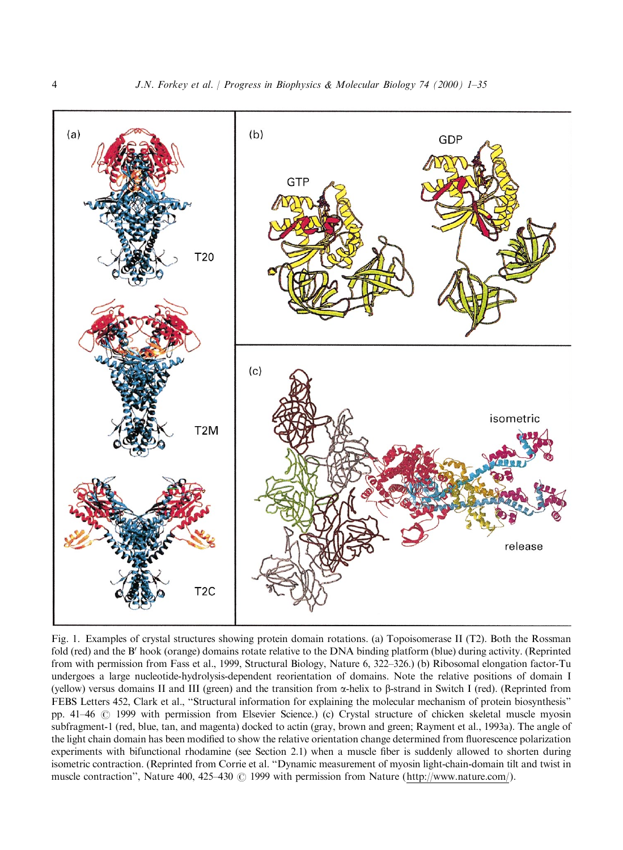

Fig. 1. Examples of crystal structures showing protein domain rotations. (a) Topoisomerase II (T2). Both the Rossman fold (red) and the B' hook (orange) domains rotate relative to the DNA binding platform (blue) during activity. (Reprinted from with permission from Fass et al., 1999, Structural Biology, Nature 6, 322–326.) (b) Ribosomal elongation factor-Tu undergoes a large nucleotide-hydrolysis-dependent reorientation of domains. Note the relative positions of domain I (yellow) versus domains II and III (green) and the transition from  $\alpha$ -helix to  $\beta$ -strand in Switch I (red). (Reprinted from FEBS Letters 452, Clark et al., ''Structural information for explaining the molecular mechanism of protein biosynthesis'' pp. 41–46  $\odot$  1999 with permission from Elsevier Science.) (c) Crystal structure of chicken skeletal muscle myosin subfragment-1 (red, blue, tan, and magenta) docked to actin (gray, brown and green; Rayment et al., 1993a). The angle of the light chain domain has been modified to show the relative orientation change determined from fluorescence polarization experiments with bifunctional rhodamine (see Section 2.1) when a muscle fiber is suddenly allowed to shorten during isometric contraction. (Reprinted from Corrie et al. ''Dynamic measurement of myosin light-chain-domain tilt and twist in muscle contraction", Nature 400, 425–430  $\odot$  1999 with permission from Nature (http://www.nature.com/).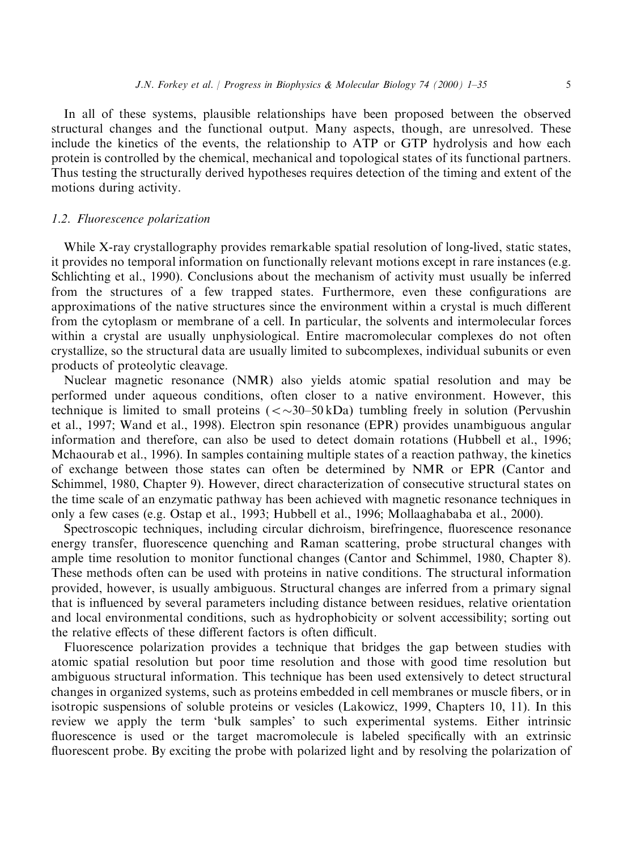In all of these systems, plausible relationships have been proposed between the observed structural changes and the functional output. Many aspects, though, are unresolved. These include the kinetics of the events, the relationship to ATP or GTP hydrolysis and how each protein is controlled by the chemical, mechanical and topological states of its functional partners. Thus testing the structurally derived hypotheses requires detection of the timing and extent of the motions during activity.

#### 1.2. Fluorescence polarization

While X-ray crystallography provides remarkable spatial resolution of long-lived, static states, it provides no temporal information on functionally relevant motions except in rare instances (e.g. Schlichting et al., 1990). Conclusions about the mechanism of activity must usually be inferred from the structures of a few trapped states. Furthermore, even these configurations are approximations of the native structures since the environment within a crystal is much different from the cytoplasm or membrane of a cell. In particular, the solvents and intermolecular forces within a crystal are usually unphysiological. Entire macromolecular complexes do not often crystallize, so the structural data are usually limited to subcomplexes, individual subunits or even products of proteolytic cleavage.

Nuclear magnetic resonance (NMR) also yields atomic spatial resolution and may be performed under aqueous conditions, often closer to a native environment. However, this technique is limited to small proteins  $(<\sim$ 30–50 kDa) tumbling freely in solution (Pervushin et al., 1997; Wand et al., 1998). Electron spin resonance (EPR) provides unambiguous angular information and therefore, can also be used to detect domain rotations (Hubbell et al., 1996; Mchaourab et al., 1996). In samples containing multiple states of a reaction pathway, the kinetics of exchange between those states can often be determined by NMR or EPR (Cantor and Schimmel, 1980, Chapter 9). However, direct characterization of consecutive structural states on the time scale of an enzymatic pathway has been achieved with magnetic resonance techniques in only a few cases (e.g. Ostap et al., 1993; Hubbell et al., 1996; Mollaaghababa et al., 2000).

Spectroscopic techniques, including circular dichroism, birefringence, fluorescence resonance energy transfer, fluorescence quenching and Raman scattering, probe structural changes with ample time resolution to monitor functional changes (Cantor and Schimmel, 1980, Chapter 8). These methods often can be used with proteins in native conditions. The structural information provided, however, is usually ambiguous. Structural changes are inferred from a primary signal that is influenced by several parameters including distance between residues, relative orientation and local environmental conditions, such as hydrophobicity or solvent accessibility; sorting out the relative effects of these different factors is often difficult.

Fluorescence polarization provides a technique that bridges the gap between studies with atomic spatial resolution but poor time resolution and those with good time resolution but ambiguous structural information. This technique has been used extensively to detect structural changes in organized systems, such as proteins embedded in cell membranes or muscle fibers, or in isotropic suspensions of soluble proteins or vesicles (Lakowicz, 1999, Chapters 10, 11). In this review we apply the term 'bulk samples' to such experimental systems. Either intrinsic fluorescence is used or the target macromolecule is labeled specifically with an extrinsic fluorescent probe. By exciting the probe with polarized light and by resolving the polarization of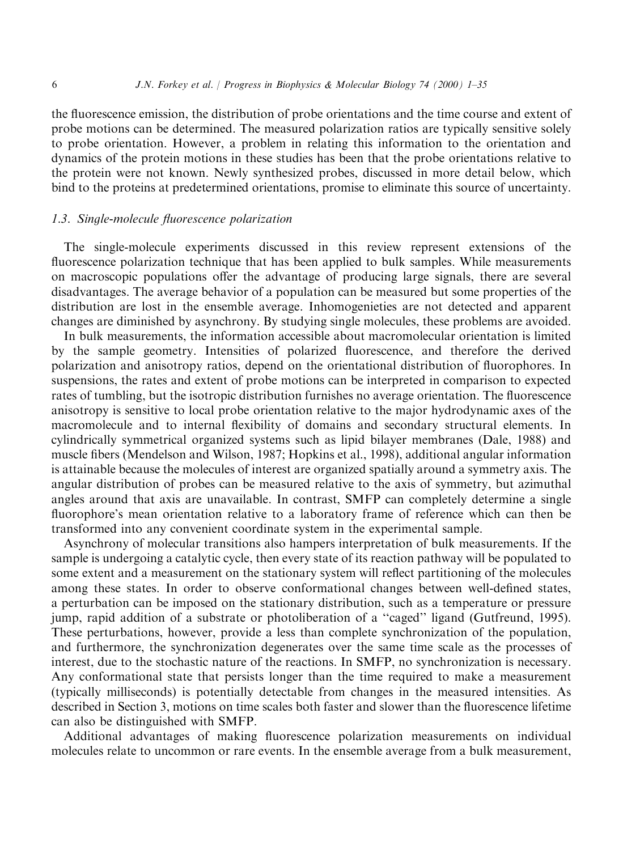the fluorescence emission, the distribution of probe orientations and the time course and extent of probe motions can be determined. The measured polarization ratios are typically sensitive solely to probe orientation. However, a problem in relating this information to the orientation and dynamics of the protein motions in these studies has been that the probe orientations relative to the protein were not known. Newly synthesized probes, discussed in more detail below, which bind to the proteins at predetermined orientations, promise to eliminate this source of uncertainty.

# 1.3. Single-molecule fluorescence polarization

The single-molecule experiments discussed in this review represent extensions of the fluorescence polarization technique that has been applied to bulk samples. While measurements on macroscopic populations offer the advantage of producing large signals, there are several disadvantages. The average behavior of a population can be measured but some properties of the distribution are lost in the ensemble average. Inhomogenieties are not detected and apparent changes are diminished by asynchrony. By studying single molecules, these problems are avoided.

In bulk measurements, the information accessible about macromolecular orientation is limited by the sample geometry. Intensities of polarized fluorescence, and therefore the derived polarization and anisotropy ratios, depend on the orientational distribution of fluorophores. In suspensions, the rates and extent of probe motions can be interpreted in comparison to expected rates of tumbling, but the isotropic distribution furnishes no average orientation. The fluorescence anisotropy is sensitive to local probe orientation relative to the major hydrodynamic axes of the macromolecule and to internal flexibility of domains and secondary structural elements. In cylindrically symmetrical organized systems such as lipid bilayer membranes (Dale, 1988) and muscle fibers (Mendelson and Wilson, 1987; Hopkins et al., 1998), additional angular information is attainable because the molecules of interest are organized spatially around a symmetry axis. The angular distribution of probes can be measured relative to the axis of symmetry, but azimuthal angles around that axis are unavailable. In contrast, SMFP can completely determine a single fluorophore's mean orientation relative to a laboratory frame of reference which can then be transformed into any convenient coordinate system in the experimental sample.

Asynchrony of molecular transitions also hampers interpretation of bulk measurements. If the sample is undergoing a catalytic cycle, then every state of its reaction pathway will be populated to some extent and a measurement on the stationary system will reflect partitioning of the molecules among these states. In order to observe conformational changes between well-defined states, a perturbation can be imposed on the stationary distribution, such as a temperature or pressure jump, rapid addition of a substrate or photoliberation of a ''caged'' ligand (Gutfreund, 1995). These perturbations, however, provide a less than complete synchronization of the population, and furthermore, the synchronization degenerates over the same time scale as the processes of interest, due to the stochastic nature of the reactions. In SMFP, no synchronization is necessary. Any conformational state that persists longer than the time required to make a measurement (typically milliseconds) is potentially detectable from changes in the measured intensities. As described in Section 3, motions on time scales both faster and slower than the fluorescence lifetime can also be distinguished with SMFP.

Additional advantages of making fluorescence polarization measurements on individual molecules relate to uncommon or rare events. In the ensemble average from a bulk measurement,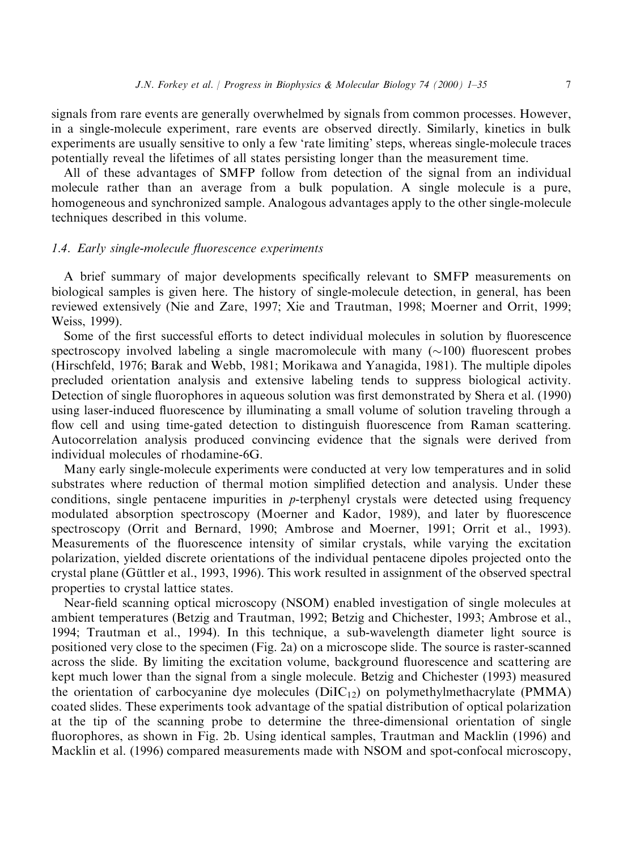signals from rare events are generally overwhelmed by signals from common processes. However, in a single-molecule experiment, rare events are observed directly. Similarly, kinetics in bulk experiments are usually sensitive to only a few 'rate limiting' steps, whereas single-molecule traces potentially reveal the lifetimes of all states persisting longer than the measurement time.

All of these advantages of SMFP follow from detection of the signal from an individual molecule rather than an average from a bulk population. A single molecule is a pure, homogeneous and synchronized sample. Analogous advantages apply to the other single-molecule techniques described in this volume.

# 1.4. Early single-molecule fluorescence experiments

A brief summary of major developments specifically relevant to SMFP measurements on biological samples is given here. The history of single-molecule detection, in general, has been reviewed extensively (Nie and Zare, 1997; Xie and Trautman, 1998; Moerner and Orrit, 1999; Weiss, 1999).

Some of the first successful efforts to detect individual molecules in solution by fluorescence spectroscopy involved labeling a single macromolecule with many  $(\sim 100)$  fluorescent probes (Hirschfeld, 1976; Barak and Webb, 1981; Morikawa and Yanagida, 1981). The multiple dipoles precluded orientation analysis and extensive labeling tends to suppress biological activity. Detection of single fluorophores in aqueous solution was first demonstrated by Shera et al. (1990) using laser-induced fluorescence by illuminating a small volume of solution traveling through a flow cell and using time-gated detection to distinguish fluorescence from Raman scattering. Autocorrelation analysis produced convincing evidence that the signals were derived from individual molecules of rhodamine-6G.

Many early single-molecule experiments were conducted at very low temperatures and in solid substrates where reduction of thermal motion simplified detection and analysis. Under these conditions, single pentacene impurities in  $p$ -terphenyl crystals were detected using frequency modulated absorption spectroscopy (Moerner and Kador, 1989), and later by fluorescence spectroscopy (Orrit and Bernard, 1990; Ambrose and Moerner, 1991; Orrit et al., 1993). Measurements of the fluorescence intensity of similar crystals, while varying the excitation polarization, yielded discrete orientations of the individual pentacene dipoles projected onto the crystal plane (Güttler et al., 1993, 1996). This work resulted in assignment of the observed spectral properties to crystal lattice states.

Near-field scanning optical microscopy (NSOM) enabled investigation of single molecules at ambient temperatures (Betzig and Trautman, 1992; Betzig and Chichester, 1993; Ambrose et al., 1994; Trautman et al., 1994). In this technique, a sub-wavelength diameter light source is positioned very close to the specimen (Fig. 2a) on a microscope slide. The source is raster-scanned across the slide. By limiting the excitation volume, background fluorescence and scattering are kept much lower than the signal from a single molecule. Betzig and Chichester (1993) measured the orientation of carbocyanine dye molecules ( $DiIC_{12}$ ) on polymethylmethacrylate (PMMA) coated slides. These experiments took advantage of the spatial distribution of optical polarization at the tip of the scanning probe to determine the three-dimensional orientation of single fluorophores, as shown in Fig. 2b. Using identical samples, Trautman and Macklin (1996) and Macklin et al. (1996) compared measurements made with NSOM and spot-confocal microscopy,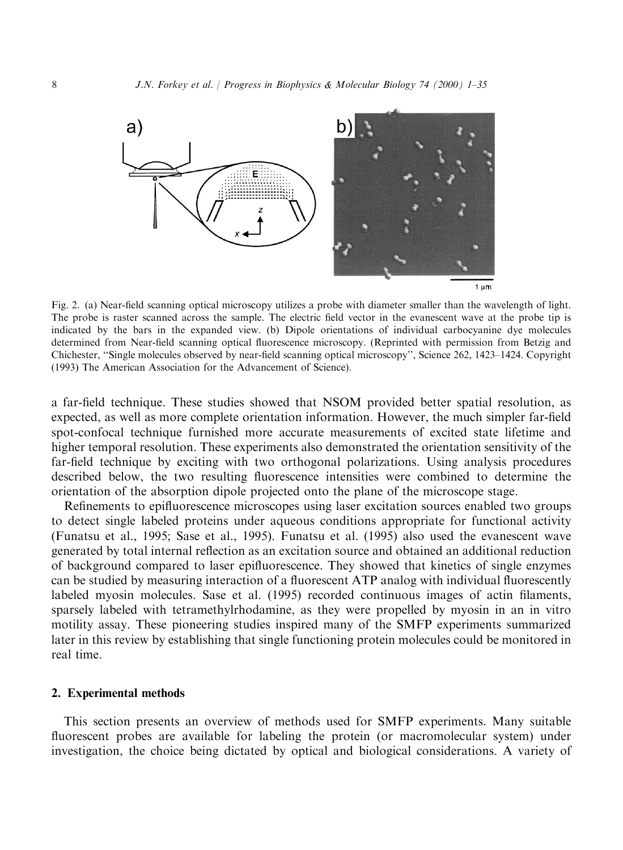

Fig. 2. (a) Near-field scanning optical microscopy utilizes a probe with diameter smaller than the wavelength of light. The probe is raster scanned across the sample. The electric field vector in the evanescent wave at the probe tip is indicated by the bars in the expanded view. (b) Dipole orientations of individual carbocyanine dye molecules determined from Near-field scanning optical fluorescence microscopy. (Reprinted with permission from Betzig and Chichester, ''Single molecules observed by near-field scanning optical microscopy'', Science 262, 1423–1424. Copyright (1993) The American Association for the Advancement of Science).

a far-field technique. These studies showed that NSOM provided better spatial resolution, as expected, as well as more complete orientation information. However, the much simpler far-field spot-confocal technique furnished more accurate measurements of excited state lifetime and higher temporal resolution. These experiments also demonstrated the orientation sensitivity of the far-field technique by exciting with two orthogonal polarizations. Using analysis procedures described below, the two resulting fluorescence intensities were combined to determine the orientation of the absorption dipole projected onto the plane of the microscope stage.

Refinements to epifluorescence microscopes using laser excitation sources enabled two groups to detect single labeled proteins under aqueous conditions appropriate for functional activity (Funatsu et al., 1995; Sase et al., 1995). Funatsu et al. (1995) also used the evanescent wave generated by total internal reflection as an excitation source and obtained an additional reduction of background compared to laser epifluorescence. They showed that kinetics of single enzymes can be studied by measuring interaction of a fluorescent ATP analog with individual fluorescently labeled myosin molecules. Sase et al. (1995) recorded continuous images of actin filaments, sparsely labeled with tetramethylrhodamine, as they were propelled by myosin in an in vitro motility assay. These pioneering studies inspired many of the SMFP experiments summarized later in this review by establishing that single functioning protein molecules could be monitored in real time.

#### 2. Experimental methods

This section presents an overview of methods used for SMFP experiments. Many suitable fluorescent probes are available for labeling the protein (or macromolecular system) under investigation, the choice being dictated by optical and biological considerations. A variety of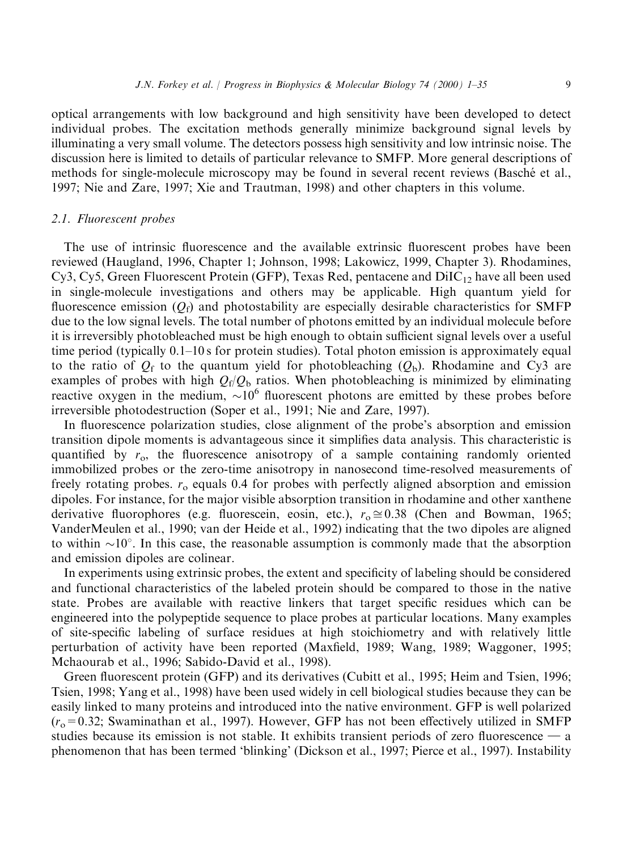optical arrangements with low background and high sensitivity have been developed to detect individual probes. The excitation methods generally minimize background signal levels by illuminating a very small volume. The detectors possess high sensitivity and low intrinsic noise. The discussion here is limited to details of particular relevance to SMFP. More general descriptions of methods for single-molecule microscopy may be found in several recent reviews (Basché et al., 1997; Nie and Zare, 1997; Xie and Trautman, 1998) and other chapters in this volume.

# 2.1. Fluorescent probes

The use of intrinsic fluorescence and the available extrinsic fluorescent probes have been reviewed (Haugland, 1996, Chapter 1; Johnson, 1998; Lakowicz, 1999, Chapter 3). Rhodamines, Cy3, Cy5, Green Fluorescent Protein (GFP), Texas Red, pentacene and  $\text{DiC}_{12}$  have all been used in single-molecule investigations and others may be applicable. High quantum yield for fluorescence emission  $(Q_f)$  and photostability are especially desirable characteristics for SMFP due to the low signal levels. The total number of photons emitted by an individual molecule before it is irreversibly photobleached must be high enough to obtain sufficient signal levels over a useful time period (typically 0.1–10 s for protein studies). Total photon emission is approximately equal to the ratio of  $Q_f$  to the quantum yield for photobleaching  $(Q_b)$ . Rhodamine and Cy3 are examples of probes with high  $Q_f/Q_b$  ratios. When photobleaching is minimized by eliminating reactive oxygen in the medium,  $\sim 10^6$  fluorescent photons are emitted by these probes before irreversible photodestruction (Soper et al., 1991; Nie and Zare, 1997).

In fluorescence polarization studies, close alignment of the probe's absorption and emission transition dipole moments is advantageous since it simplifies data analysis. This characteristic is quantified by  $r_0$ , the fluorescence anisotropy of a sample containing randomly oriented immobilized probes or the zero-time anisotropy in nanosecond time-resolved measurements of freely rotating probes.  $r<sub>o</sub>$  equals 0.4 for probes with perfectly aligned absorption and emission dipoles. For instance, for the major visible absorption transition in rhodamine and other xanthene derivative fluorophores (e.g. fluorescein, eosin, etc.),  $r_0 \approx 0.38$  (Chen and Bowman, 1965; VanderMeulen et al., 1990; van der Heide et al., 1992) indicating that the two dipoles are aligned to within  $\sim 10^{\circ}$ . In this case, the reasonable assumption is commonly made that the absorption and emission dipoles are colinear.

In experiments using extrinsic probes, the extent and specificity of labeling should be considered and functional characteristics of the labeled protein should be compared to those in the native state. Probes are available with reactive linkers that target specific residues which can be engineered into the polypeptide sequence to place probes at particular locations. Many examples of site-specific labeling of surface residues at high stoichiometry and with relatively little perturbation of activity have been reported (Maxfield, 1989; Wang, 1989; Waggoner, 1995; Mchaourab et al., 1996; Sabido-David et al., 1998).

Green fluorescent protein (GFP) and its derivatives (Cubitt et al., 1995; Heim and Tsien, 1996; Tsien, 1998; Yang et al., 1998) have been used widely in cell biological studies because they can be easily linked to many proteins and introduced into the native environment. GFP is well polarized  $(r<sub>o</sub>=0.32;$  Swaminathan et al., 1997). However, GFP has not been effectively utilized in SMFP studies because its emission is not stable. It exhibits transient periods of zero fluorescence  $\frac{-a}{a}$ phenomenon that has been termed 'blinking' (Dickson et al., 1997; Pierce et al., 1997). Instability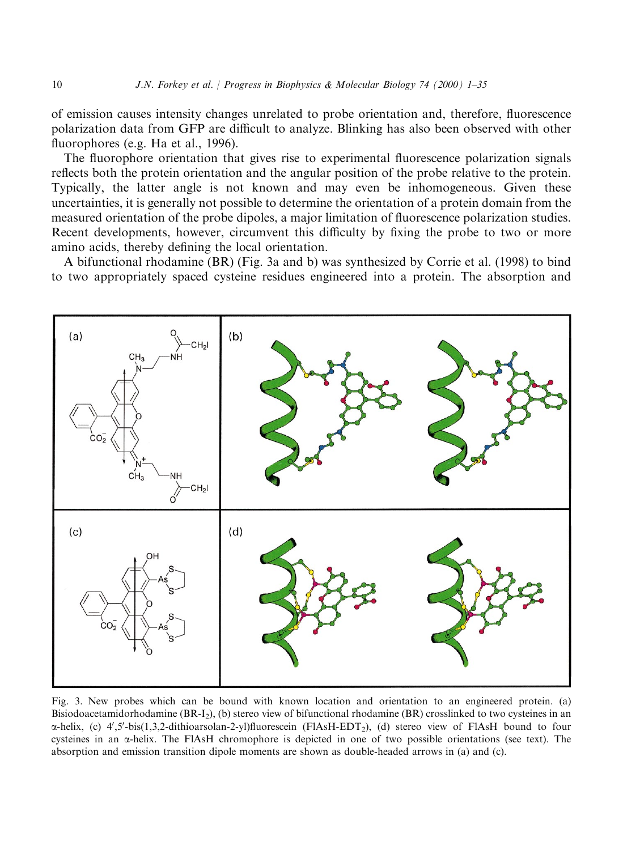of emission causes intensity changes unrelated to probe orientation and, therefore, fluorescence polarization data from GFP are difficult to analyze. Blinking has also been observed with other fluorophores (e.g. Ha et al., 1996).

The fluorophore orientation that gives rise to experimental fluorescence polarization signals reflects both the protein orientation and the angular position of the probe relative to the protein. Typically, the latter angle is not known and may even be inhomogeneous. Given these uncertainties, it is generally not possible to determine the orientation of a protein domain from the measured orientation of the probe dipoles, a major limitation of fluorescence polarization studies. Recent developments, however, circumvent this difficulty by fixing the probe to two or more amino acids, thereby defining the local orientation.

A bifunctional rhodamine (BR) (Fig. 3a and b) was synthesized by Corrie et al. (1998) to bind to two appropriately spaced cysteine residues engineered into a protein. The absorption and



Fig. 3. New probes which can be bound with known location and orientation to an engineered protein. (a) Bisiodoacetamidorhodamine (BR-I<sub>2</sub>), (b) stereo view of bifunctional rhodamine (BR) crosslinked to two cysteines in an  $\alpha$ -helix, (c) 4',5'-bis(1,3,2-dithioarsolan-2-yl)fluorescein (FlAsH-EDT<sub>2</sub>), (d) stereo view of FlAsH bound to four cysteines in an  $\alpha$ -helix. The FlAsH chromophore is depicted in one of two possible orientations (see text). The absorption and emission transition dipole moments are shown as double-headed arrows in (a) and (c).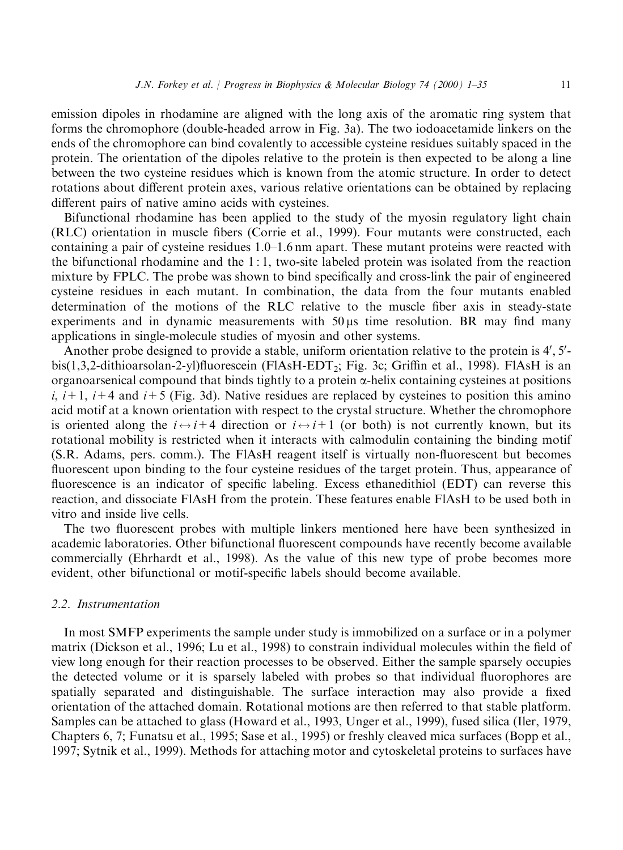emission dipoles in rhodamine are aligned with the long axis of the aromatic ring system that forms the chromophore (double-headed arrow in Fig. 3a). The two iodoacetamide linkers on the ends of the chromophore can bind covalently to accessible cysteine residues suitably spaced in the protein. The orientation of the dipoles relative to the protein is then expected to be along a line between the two cysteine residues which is known from the atomic structure. In order to detect rotations about different protein axes, various relative orientations can be obtained by replacing different pairs of native amino acids with cysteines.

Bifunctional rhodamine has been applied to the study of the myosin regulatory light chain (RLC) orientation in muscle fibers (Corrie et al., 1999). Four mutants were constructed, each containing a pair of cysteine residues 1.0–1.6 nm apart. These mutant proteins were reacted with the bifunctional rhodamine and the  $1:1$ , two-site labeled protein was isolated from the reaction mixture by FPLC. The probe was shown to bind specifically and cross-link the pair of engineered cysteine residues in each mutant. In combination, the data from the four mutants enabled determination of the motions of the RLC relative to the muscle fiber axis in steady-state experiments and in dynamic measurements with  $50 \mu s$  time resolution. BR may find many applications in single-molecule studies of myosin and other systems.

Another probe designed to provide a stable, uniform orientation relative to the protein is 4', 5'bis(1,3,2-dithioarsolan-2-yl)fluorescein (FlAsH-EDT<sub>2</sub>; Fig. 3c; Griffin et al., 1998). FlAsH is an organoarsenical compound that binds tightly to a protein  $\alpha$ -helix containing cysteines at positions i,  $i+1$ ,  $i+4$  and  $i+5$  (Fig. 3d). Native residues are replaced by cysteines to position this amino acid motif at a known orientation with respect to the crystal structure. Whether the chromophore is oriented along the  $i \leftrightarrow i+4$  direction or  $i \leftrightarrow i+1$  (or both) is not currently known, but its rotational mobility is restricted when it interacts with calmodulin containing the binding motif (S.R. Adams, pers. comm.). The FlAsH reagent itself is virtually non-fluorescent but becomes fluorescent upon binding to the four cysteine residues of the target protein. Thus, appearance of fluorescence is an indicator of specific labeling. Excess ethanedithiol (EDT) can reverse this reaction, and dissociate FlAsH from the protein. These features enable FlAsH to be used both in vitro and inside live cells.

The two fluorescent probes with multiple linkers mentioned here have been synthesized in academic laboratories. Other bifunctional fluorescent compounds have recently become available commercially (Ehrhardt et al., 1998). As the value of this new type of probe becomes more evident, other bifunctional or motif-specific labels should become available.

# 2.2. Instrumentation

In most SMFP experiments the sample under study is immobilized on a surface or in a polymer matrix (Dickson et al., 1996; Lu et al., 1998) to constrain individual molecules within the field of view long enough for their reaction processes to be observed. Either the sample sparsely occupies the detected volume or it is sparsely labeled with probes so that individual fluorophores are spatially separated and distinguishable. The surface interaction may also provide a fixed orientation of the attached domain. Rotational motions are then referred to that stable platform. Samples can be attached to glass (Howard et al., 1993, Unger et al., 1999), fused silica (Iler, 1979, Chapters 6, 7; Funatsu et al., 1995; Sase et al., 1995) or freshly cleaved mica surfaces (Bopp et al., 1997; Sytnik et al., 1999). Methods for attaching motor and cytoskeletal proteins to surfaces have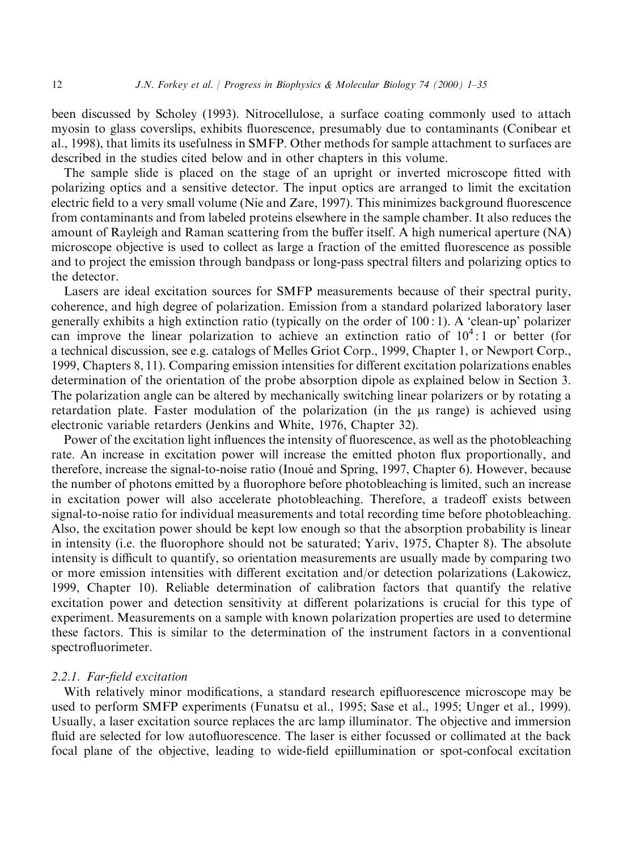been discussed by Scholey (1993). Nitrocellulose, a surface coating commonly used to attach myosin to glass coverslips, exhibits fluorescence, presumably due to contaminants (Conibear et al., 1998), that limits its usefulness in SMFP. Other methods for sample attachment to surfaces are described in the studies cited below and in other chapters in this volume.

The sample slide is placed on the stage of an upright or inverted microscope fitted with polarizing optics and a sensitive detector. The input optics are arranged to limit the excitation electric field to a very small volume (Nie and Zare, 1997). This minimizes background fluorescence from contaminants and from labeled proteins elsewhere in the sample chamber. It also reduces the amount of Rayleigh and Raman scattering from the buffer itself. A high numerical aperture (NA) microscope objective is used to collect as large a fraction of the emitted fluorescence as possible and to project the emission through bandpass or long-pass spectral filters and polarizing optics to the detector.

Lasers are ideal excitation sources for SMFP measurements because of their spectral purity, coherence, and high degree of polarization. Emission from a standard polarized laboratory laser generally exhibits a high extinction ratio (typically on the order of 100 : 1). A 'clean-up' polarizer can improve the linear polarization to achieve an extinction ratio of  $10^4:1$  or better (for a technical discussion, see e.g. catalogs of Melles Griot Corp., 1999, Chapter 1, or Newport Corp., 1999, Chapters 8, 11). Comparing emission intensities for different excitation polarizations enables determination of the orientation of the probe absorption dipole as explained below in Section 3. The polarization angle can be altered by mechanically switching linear polarizers or by rotating a retardation plate. Faster modulation of the polarization (in the us range) is achieved using electronic variable retarders (Jenkins and White, 1976, Chapter 32).

Power of the excitation light influences the intensity of fluorescence, as well as the photobleaching rate. An increase in excitation power will increase the emitted photon flux proportionally, and therefore, increase the signal-to-noise ratio (Inoué and Spring, 1997, Chapter 6). However, because the number of photons emitted by a fluorophore before photobleaching is limited, such an increase in excitation power will also accelerate photobleaching. Therefore, a tradeoff exists between signal-to-noise ratio for individual measurements and total recording time before photobleaching. Also, the excitation power should be kept low enough so that the absorption probability is linear in intensity (i.e. the fluorophore should not be saturated; Yariv, 1975, Chapter 8). The absolute intensity is difficult to quantify, so orientation measurements are usually made by comparing two or more emission intensities with different excitation and/or detection polarizations (Lakowicz, 1999, Chapter 10). Reliable determination of calibration factors that quantify the relative excitation power and detection sensitivity at different polarizations is crucial for this type of experiment. Measurements on a sample with known polarization properties are used to determine these factors. This is similar to the determination of the instrument factors in a conventional spectrofluorimeter.

#### 2.2.1. Far-field excitation

With relatively minor modifications, a standard research epifluorescence microscope may be used to perform SMFP experiments (Funatsu et al., 1995; Sase et al., 1995; Unger et al., 1999). Usually, a laser excitation source replaces the arc lamp illuminator. The objective and immersion fluid are selected for low autofluorescence. The laser is either focussed or collimated at the back focal plane of the objective, leading to wide-field epiillumination or spot-confocal excitation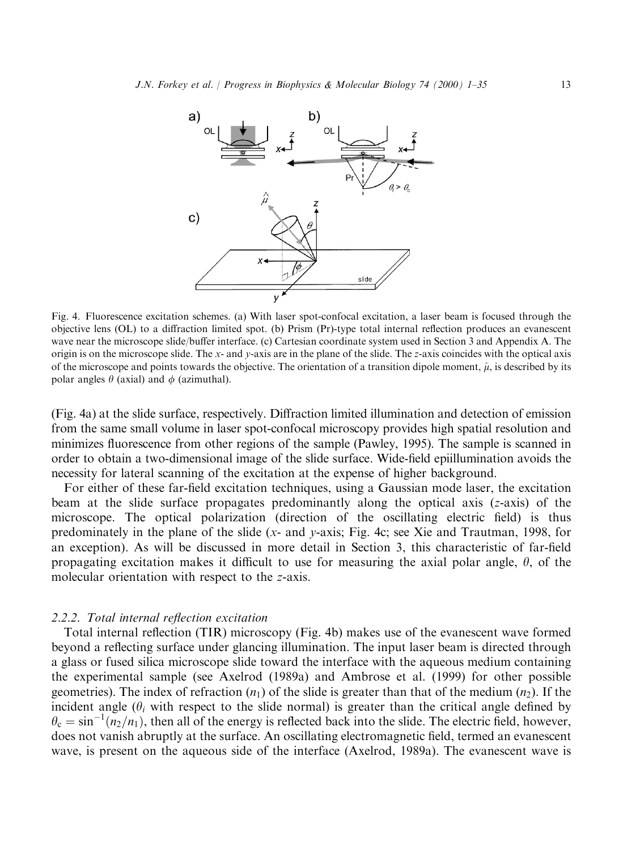

Fig. 4. Fluorescence excitation schemes. (a) With laser spot-confocal excitation, a laser beam is focused through the objective lens (OL) to a diffraction limited spot. (b) Prism (Pr)-type total internal reflection produces an evanescent wave near the microscope slide/buffer interface. (c) Cartesian coordinate system used in Section 3 and Appendix A. The origin is on the microscope slide. The x- and y-axis are in the plane of the slide. The z-axis coincides with the optical axis of the microscope and points towards the objective. The orientation of a transition dipole moment,  $\hat{\mu}$ , is described by its polar angles  $\theta$  (axial) and  $\phi$  (azimuthal).

(Fig. 4a) at the slide surface, respectively. Diffraction limited illumination and detection of emission from the same small volume in laser spot-confocal microscopy provides high spatial resolution and minimizes fluorescence from other regions of the sample (Pawley, 1995). The sample is scanned in order to obtain a two-dimensional image of the slide surface. Wide-field epiillumination avoids the necessity for lateral scanning of the excitation at the expense of higher background.

For either of these far-field excitation techniques, using a Gaussian mode laser, the excitation beam at the slide surface propagates predominantly along the optical axis (z-axis) of the microscope. The optical polarization (direction of the oscillating electric field) is thus predominately in the plane of the slide (x- and y-axis; Fig. 4c; see Xie and Trautman, 1998, for an exception). As will be discussed in more detail in Section 3, this characteristic of far-field propagating excitation makes it difficult to use for measuring the axial polar angle,  $\theta$ , of the molecular orientation with respect to the z-axis.

# 2.2.2. Total internal reflection excitation

Total internal reflection (TIR) microscopy (Fig. 4b) makes use of the evanescent wave formed beyond a reflecting surface under glancing illumination. The input laser beam is directed through a glass or fused silica microscope slide toward the interface with the aqueous medium containing the experimental sample (see Axelrod (1989a) and Ambrose et al. (1999) for other possible geometries). The index of refraction  $(n_1)$  of the slide is greater than that of the medium  $(n_2)$ . If the incident angle  $(\theta_i$  with respect to the slide normal) is greater than the critical angle defined by  $\theta_c = \sin^{-1}(n_2/n_1)$ , then all of the energy is reflected back into the slide. The electric field, however, does not vanish abruptly at the surface. An oscillating electromagnetic field, termed an evanescent wave, is present on the aqueous side of the interface (Axelrod, 1989a). The evanescent wave is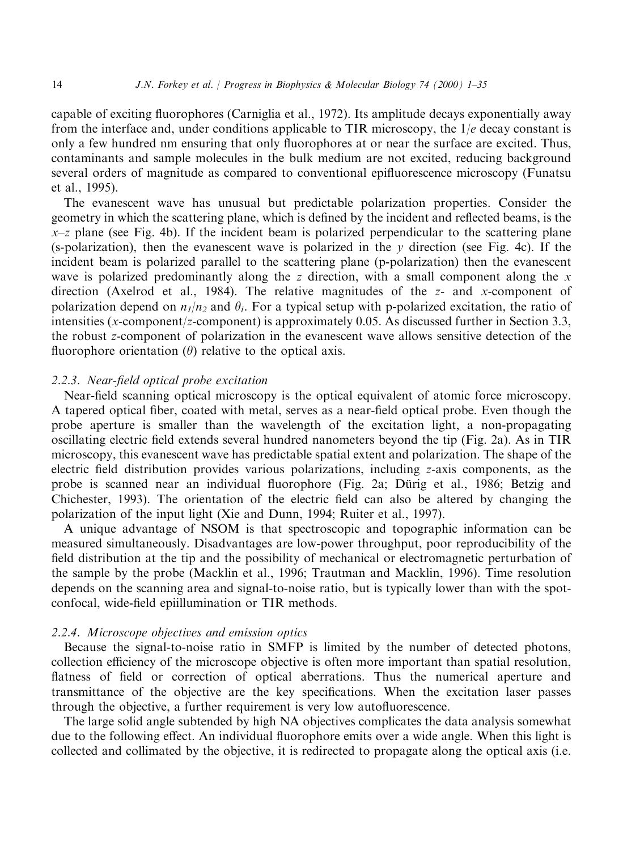capable of exciting fluorophores (Carniglia et al., 1972). Its amplitude decays exponentially away from the interface and, under conditions applicable to TIR microscopy, the  $1/e$  decay constant is only a few hundred nm ensuring that only fluorophores at or near the surface are excited. Thus, contaminants and sample molecules in the bulk medium are not excited, reducing background several orders of magnitude as compared to conventional epifluorescence microscopy (Funatsu et al., 1995).

The evanescent wave has unusual but predictable polarization properties. Consider the geometry in which the scattering plane, which is defined by the incident and reflected beams, is the  $x-z$  plane (see Fig. 4b). If the incident beam is polarized perpendicular to the scattering plane (s-polarization), then the evanescent wave is polarized in the  $\nu$  direction (see Fig. 4c). If the incident beam is polarized parallel to the scattering plane (p-polarization) then the evanescent wave is polarized predominantly along the z direction, with a small component along the  $x$ direction (Axelrod et al., 1984). The relative magnitudes of the  $z$ - and x-component of polarization depend on  $n_1/n_2$  and  $\theta_i$ . For a typical setup with p-polarized excitation, the ratio of intensities (x-component/z-component) is approximately 0.05. As discussed further in Section 3.3, the robust z-component of polarization in the evanescent wave allows sensitive detection of the fluorophore orientation  $(\theta)$  relative to the optical axis.

# 2.2.3. Near-field optical probe excitation

Near-field scanning optical microscopy is the optical equivalent of atomic force microscopy. A tapered optical fiber, coated with metal, serves as a near-field optical probe. Even though the probe aperture is smaller than the wavelength of the excitation light, a non-propagating oscillating electric field extends several hundred nanometers beyond the tip (Fig. 2a). As in TIR microscopy, this evanescent wave has predictable spatial extent and polarization. The shape of the electric field distribution provides various polarizations, including z-axis components, as the probe is scanned near an individual fluorophore (Fig. 2a; Dürig et al., 1986; Betzig and Chichester, 1993). The orientation of the electric field can also be altered by changing the polarization of the input light (Xie and Dunn, 1994; Ruiter et al., 1997).

A unique advantage of NSOM is that spectroscopic and topographic information can be measured simultaneously. Disadvantages are low-power throughput, poor reproducibility of the field distribution at the tip and the possibility of mechanical or electromagnetic perturbation of the sample by the probe (Macklin et al., 1996; Trautman and Macklin, 1996). Time resolution depends on the scanning area and signal-to-noise ratio, but is typically lower than with the spotconfocal, wide-field epiillumination or TIR methods.

# 2.2.4. Microscope objectives and emission optics

Because the signal-to-noise ratio in SMFP is limited by the number of detected photons, collection efficiency of the microscope objective is often more important than spatial resolution, flatness of field or correction of optical aberrations. Thus the numerical aperture and transmittance of the objective are the key specifications. When the excitation laser passes through the objective, a further requirement is very low autofluorescence.

The large solid angle subtended by high NA objectives complicates the data analysis somewhat due to the following effect. An individual fluorophore emits over a wide angle. When this light is collected and collimated by the objective, it is redirected to propagate along the optical axis (i.e.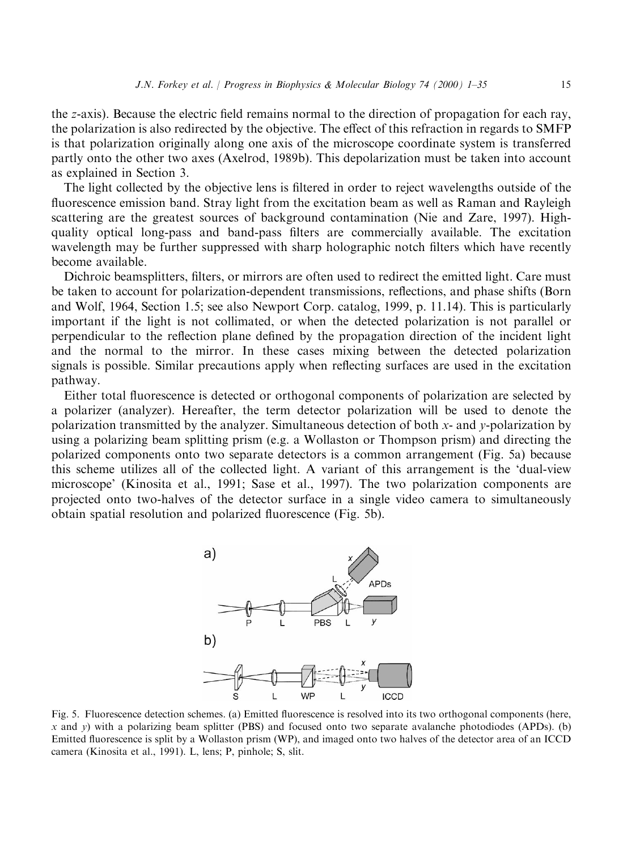the z-axis). Because the electric field remains normal to the direction of propagation for each ray, the polarization is also redirected by the objective. The effect of this refraction in regards to SMFP is that polarization originally along one axis of the microscope coordinate system is transferred partly onto the other two axes (Axelrod, 1989b). This depolarization must be taken into account as explained in Section 3.

The light collected by the objective lens is filtered in order to reject wavelengths outside of the fluorescence emission band. Stray light from the excitation beam as well as Raman and Rayleigh scattering are the greatest sources of background contamination (Nie and Zare, 1997). Highquality optical long-pass and band-pass filters are commercially available. The excitation wavelength may be further suppressed with sharp holographic notch filters which have recently become available.

Dichroic beamsplitters, filters, or mirrors are often used to redirect the emitted light. Care must be taken to account for polarization-dependent transmissions, reflections, and phase shifts (Born and Wolf, 1964, Section 1.5; see also Newport Corp. catalog, 1999, p. 11.14). This is particularly important if the light is not collimated, or when the detected polarization is not parallel or perpendicular to the reflection plane defined by the propagation direction of the incident light and the normal to the mirror. In these cases mixing between the detected polarization signals is possible. Similar precautions apply when reflecting surfaces are used in the excitation pathway.

Either total fluorescence is detected or orthogonal components of polarization are selected by a polarizer (analyzer). Hereafter, the term detector polarization will be used to denote the polarization transmitted by the analyzer. Simultaneous detection of both  $x$ - and  $y$ -polarization by using a polarizing beam splitting prism (e.g. a Wollaston or Thompson prism) and directing the polarized components onto two separate detectors is a common arrangement (Fig. 5a) because this scheme utilizes all of the collected light. A variant of this arrangement is the 'dual-view microscope' (Kinosita et al., 1991; Sase et al., 1997). The two polarization components are projected onto two-halves of the detector surface in a single video camera to simultaneously obtain spatial resolution and polarized fluorescence (Fig. 5b).



Fig. 5. Fluorescence detection schemes. (a) Emitted fluorescence is resolved into its two orthogonal components (here, x and y) with a polarizing beam splitter (PBS) and focused onto two separate avalanche photodiodes (APDs). (b) Emitted fluorescence is split by a Wollaston prism (WP), and imaged onto two halves of the detector area of an ICCD camera (Kinosita et al., 1991). L, lens; P, pinhole; S, slit.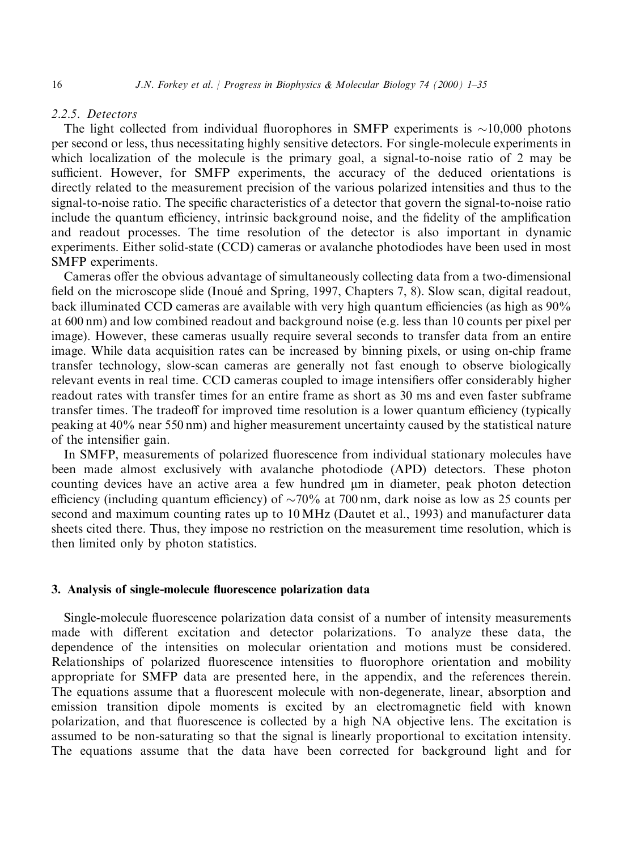# 2.2.5. Detectors

The light collected from individual fluorophores in SMFP experiments is  $\sim$ 10,000 photons per second or less, thus necessitating highly sensitive detectors. For single-molecule experiments in which localization of the molecule is the primary goal, a signal-to-noise ratio of 2 may be sufficient. However, for SMFP experiments, the accuracy of the deduced orientations is directly related to the measurement precision of the various polarized intensities and thus to the signal-to-noise ratio. The specific characteristics of a detector that govern the signal-to-noise ratio include the quantum efficiency, intrinsic background noise, and the fidelity of the amplification and readout processes. The time resolution of the detector is also important in dynamic experiments. Either solid-state (CCD) cameras or avalanche photodiodes have been used in most SMFP experiments.

Cameras offer the obvious advantage of simultaneously collecting data from a two-dimensional field on the microscope slide (Inoué and Spring, 1997, Chapters 7, 8). Slow scan, digital readout, back illuminated CCD cameras are available with very high quantum efficiencies (as high as 90% at 600 nm) and low combined readout and background noise (e.g. less than 10 counts per pixel per image). However, these cameras usually require several seconds to transfer data from an entire image. While data acquisition rates can be increased by binning pixels, or using on-chip frame transfer technology, slow-scan cameras are generally not fast enough to observe biologically relevant events in real time. CCD cameras coupled to image intensifiers offer considerably higher readout rates with transfer times for an entire frame as short as 30 ms and even faster subframe transfer times. The tradeoff for improved time resolution is a lower quantum efficiency (typically peaking at 40% near 550 nm) and higher measurement uncertainty caused by the statistical nature of the intensifier gain.

In SMFP, measurements of polarized fluorescence from individual stationary molecules have been made almost exclusively with avalanche photodiode (APD) detectors. These photon counting devices have an active area a few hundred  $\mu$ m in diameter, peak photon detection efficiency (including quantum efficiency) of  $\sim 70\%$  at 700 nm, dark noise as low as 25 counts per second and maximum counting rates up to 10 MHz (Dautet et al., 1993) and manufacturer data sheets cited there. Thus, they impose no restriction on the measurement time resolution, which is then limited only by photon statistics.

#### 3. Analysis of single-molecule fluorescence polarization data

Single-molecule fluorescence polarization data consist of a number of intensity measurements made with different excitation and detector polarizations. To analyze these data, the dependence of the intensities on molecular orientation and motions must be considered. Relationships of polarized fluorescence intensities to fluorophore orientation and mobility appropriate for SMFP data are presented here, in the appendix, and the references therein. The equations assume that a fluorescent molecule with non-degenerate, linear, absorption and emission transition dipole moments is excited by an electromagnetic field with known polarization, and that fluorescence is collected by a high NA objective lens. The excitation is assumed to be non-saturating so that the signal is linearly proportional to excitation intensity. The equations assume that the data have been corrected for background light and for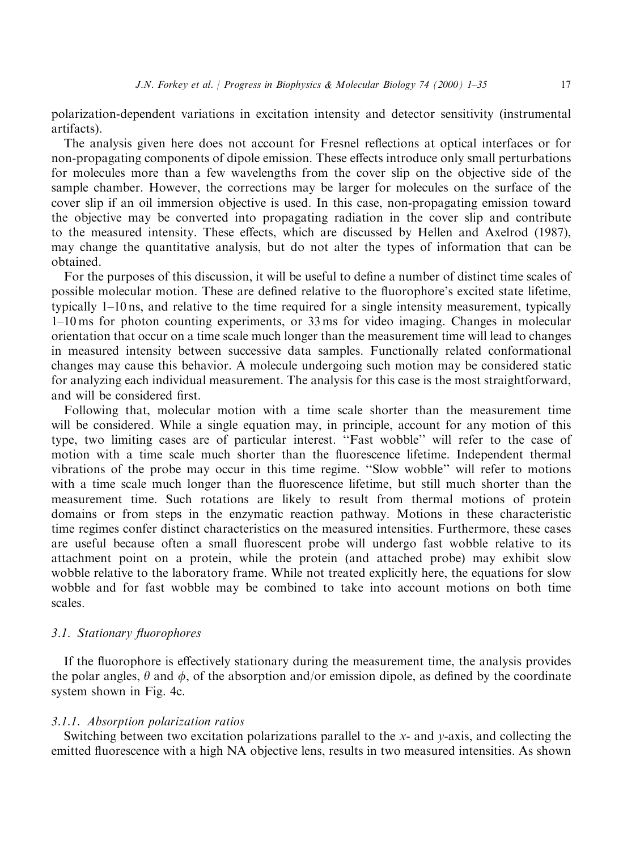polarization-dependent variations in excitation intensity and detector sensitivity (instrumental artifacts).

The analysis given here does not account for Fresnel reflections at optical interfaces or for non-propagating components of dipole emission. These effects introduce only small perturbations for molecules more than a few wavelengths from the cover slip on the objective side of the sample chamber. However, the corrections may be larger for molecules on the surface of the cover slip if an oil immersion objective is used. In this case, non-propagating emission toward the objective may be converted into propagating radiation in the cover slip and contribute to the measured intensity. These effects, which are discussed by Hellen and Axelrod (1987), may change the quantitative analysis, but do not alter the types of information that can be obtained.

For the purposes of this discussion, it will be useful to define a number of distinct time scales of possible molecular motion. These are defined relative to the fluorophore's excited state lifetime, typically 1–10 ns, and relative to the time required for a single intensity measurement, typically 1–10 ms for photon counting experiments, or 33 ms for video imaging. Changes in molecular orientation that occur on a time scale much longer than the measurement time will lead to changes in measured intensity between successive data samples. Functionally related conformational changes may cause this behavior. A molecule undergoing such motion may be considered static for analyzing each individual measurement. The analysis for this case is the most straightforward, and will be considered first.

Following that, molecular motion with a time scale shorter than the measurement time will be considered. While a single equation may, in principle, account for any motion of this type, two limiting cases are of particular interest. ''Fast wobble'' will refer to the case of motion with a time scale much shorter than the fluorescence lifetime. Independent thermal vibrations of the probe may occur in this time regime. ''Slow wobble'' will refer to motions with a time scale much longer than the fluorescence lifetime, but still much shorter than the measurement time. Such rotations are likely to result from thermal motions of protein domains or from steps in the enzymatic reaction pathway. Motions in these characteristic time regimes confer distinct characteristics on the measured intensities. Furthermore, these cases are useful because often a small fluorescent probe will undergo fast wobble relative to its attachment point on a protein, while the protein (and attached probe) may exhibit slow wobble relative to the laboratory frame. While not treated explicitly here, the equations for slow wobble and for fast wobble may be combined to take into account motions on both time scales.

# 3.1. Stationary fluorophores

If the fluorophore is effectively stationary during the measurement time, the analysis provides the polar angles,  $\theta$  and  $\phi$ , of the absorption and/or emission dipole, as defined by the coordinate system shown in Fig. 4c.

# 3.1.1. Absorption polarization ratios

Switching between two excitation polarizations parallel to the x- and y-axis, and collecting the emitted fluorescence with a high NA objective lens, results in two measured intensities. As shown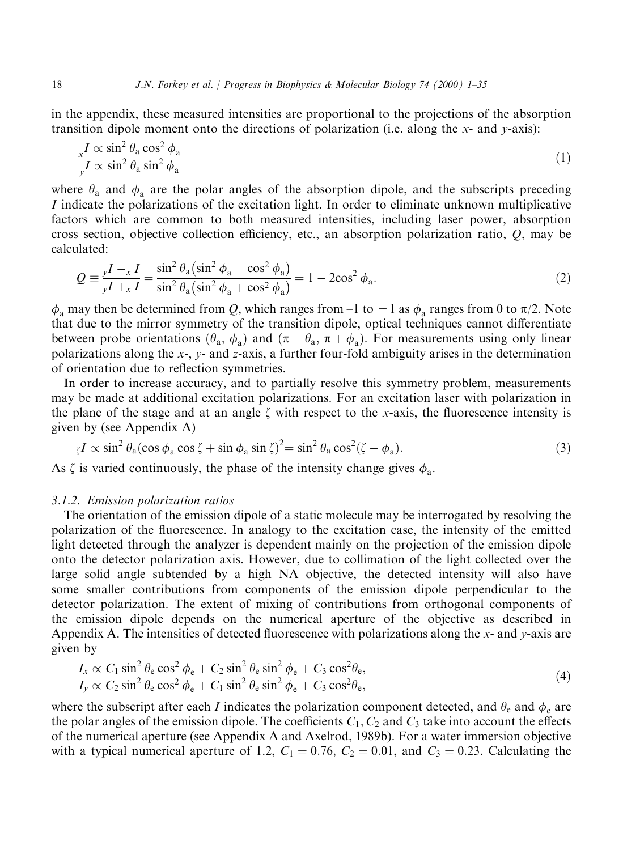in the appendix, these measured intensities are proportional to the projections of the absorption transition dipole moment onto the directions of polarization (i.e. along the  $x$ - and  $y$ -axis):

$$
\begin{aligned} \n\ _{x}I \propto \sin^{2}\theta_{a} \cos^{2}\phi_{a} \\ \n\ _{y}I \propto \sin^{2}\theta_{a} \sin^{2}\phi_{a} \n\end{aligned} \tag{1}
$$

where  $\theta_a$  and  $\phi_a$  are the polar angles of the absorption dipole, and the subscripts preceding I indicate the polarizations of the excitation light. In order to eliminate unknown multiplicative factors which are common to both measured intensities, including laser power, absorption cross section, objective collection efficiency, etc., an absorption polarization ratio, Q, may be calculated:

$$
Q = \frac{{}_{y}I - _{x}I}{{}_{y}I + _{x}I} = \frac{\sin^{2}\theta_{a}(\sin^{2}\phi_{a} - \cos^{2}\phi_{a})}{\sin^{2}\theta_{a}(\sin^{2}\phi_{a} + \cos^{2}\phi_{a})} = 1 - 2\cos^{2}\phi_{a}.
$$
\n(2)

 $\phi_a$  may then be determined from Q, which ranges from –1 to +1 as  $\phi_a$  ranges from 0 to  $\pi/2$ . Note that due to the mirror symmetry of the transition dipole, optical techniques cannot differentiate between probe orientations  $(\theta_a, \phi_a)$  and  $(\pi - \theta_a, \pi + \phi_a)$ . For measurements using only linear polarizations along the x-, y- and z-axis, a further four-fold ambiguity arises in the determination of orientation due to reflection symmetries.

In order to increase accuracy, and to partially resolve this symmetry problem, measurements may be made at additional excitation polarizations. For an excitation laser with polarization in the plane of the stage and at an angle  $\zeta$  with respect to the x-axis, the fluorescence intensity is given by (see Appendix A)

$$
\zeta I \propto \sin^2 \theta_a (\cos \phi_a \cos \zeta + \sin \phi_a \sin \zeta)^2 = \sin^2 \theta_a \cos^2 (\zeta - \phi_a). \tag{3}
$$

As  $\zeta$  is varied continuously, the phase of the intensity change gives  $\phi_a$ .

#### 3.1.2. Emission polarization ratios

The orientation of the emission dipole of a static molecule may be interrogated by resolving the polarization of the fluorescence. In analogy to the excitation case, the intensity of the emitted light detected through the analyzer is dependent mainly on the projection of the emission dipole onto the detector polarization axis. However, due to collimation of the light collected over the large solid angle subtended by a high NA objective, the detected intensity will also have some smaller contributions from components of the emission dipole perpendicular to the detector polarization. The extent of mixing of contributions from orthogonal components of the emission dipole depends on the numerical aperture of the objective as described in Appendix A. The intensities of detected fluorescence with polarizations along the x- and y-axis are given by

$$
I_x \propto C_1 \sin^2 \theta_e \cos^2 \phi_e + C_2 \sin^2 \theta_e \sin^2 \phi_e + C_3 \cos^2 \theta_e,
$$
  
\n
$$
I_y \propto C_2 \sin^2 \theta_e \cos^2 \phi_e + C_1 \sin^2 \theta_e \sin^2 \phi_e + C_3 \cos^2 \theta_e,
$$
\n(4)

where the subscript after each I indicates the polarization component detected, and  $\theta_e$  and  $\phi_e$  are the polar angles of the emission dipole. The coefficients  $C_1$ ,  $C_2$  and  $C_3$  take into account the effects of the numerical aperture (see Appendix A and Axelrod, 1989b). For a water immersion objective with a typical numerical aperture of 1.2,  $C_1 = 0.76$ ,  $C_2 = 0.01$ , and  $C_3 = 0.23$ . Calculating the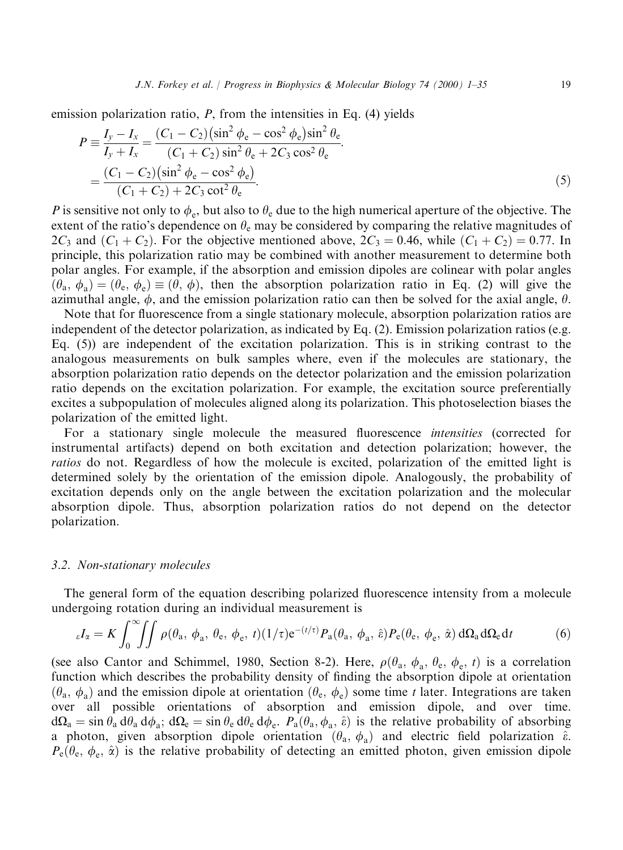emission polarization ratio,  $P$ , from the intensities in Eq. (4) yields

$$
P = \frac{I_y - I_x}{I_y + I_x} = \frac{(C_1 - C_2)(\sin^2 \phi_e - \cos^2 \phi_e)\sin^2 \theta_e}{(C_1 + C_2)\sin^2 \theta_e + 2C_3\cos^2 \theta_e}.
$$
  
= 
$$
\frac{(C_1 - C_2)(\sin^2 \phi_e - \cos^2 \phi_e)}{(C_1 + C_2) + 2C_3\cot^2 \theta_e}.
$$
 (5)

P is sensitive not only to  $\phi_e$ , but also to  $\theta_e$  due to the high numerical aperture of the objective. The extent of the ratio's dependence on  $\theta_e$  may be considered by comparing the relative magnitudes of  $2C_3$  and  $(C_1 + C_2)$ . For the objective mentioned above,  $2C_3 = 0.46$ , while  $(C_1 + C_2) = 0.77$ . In principle, this polarization ratio may be combined with another measurement to determine both polar angles. For example, if the absorption and emission dipoles are colinear with polar angles  $(\theta_a, \phi_a) = (\theta_e, \phi_e) \equiv (\theta, \phi)$ , then the absorption polarization ratio in Eq. (2) will give the azimuthal angle,  $\phi$ , and the emission polarization ratio can then be solved for the axial angle,  $\theta$ .

Note that for fluorescence from a single stationary molecule, absorption polarization ratios are independent of the detector polarization, as indicated by Eq. (2). Emission polarization ratios (e.g. Eq. (5)) are independent of the excitation polarization. This is in striking contrast to the analogous measurements on bulk samples where, even if the molecules are stationary, the absorption polarization ratio depends on the detector polarization and the emission polarization ratio depends on the excitation polarization. For example, the excitation source preferentially excites a subpopulation of molecules aligned along its polarization. This photoselection biases the polarization of the emitted light.

For a stationary single molecule the measured fluorescence intensities (corrected for instrumental artifacts) depend on both excitation and detection polarization; however, the ratios do not. Regardless of how the molecule is excited, polarization of the emitted light is determined solely by the orientation of the emission dipole. Analogously, the probability of excitation depends only on the angle between the excitation polarization and the molecular absorption dipole. Thus, absorption polarization ratios do not depend on the detector polarization.

#### 3.2. Non-stationary molecules

The general form of the equation describing polarized fluorescence intensity from a molecule undergoing rotation during an individual measurement is

$$
\epsilon I_{\alpha} = K \int_0^{\infty} \int \int \rho(\theta_a, \phi_a, \theta_e, \phi_e, t) (1/\tau) e^{-(t/\tau)} P_a(\theta_a, \phi_a, \hat{\epsilon}) P_e(\theta_e, \phi_e, \hat{\alpha}) d\Omega_a d\Omega_e dt \tag{6}
$$

(see also Cantor and Schimmel, 1980, Section 8-2). Here,  $\rho(\theta_a, \phi_a, \theta_e, \phi_e, t)$  is a correlation function which describes the probability density of finding the absorption dipole at orientation  $(\theta_a, \phi_a)$  and the emission dipole at orientation  $(\theta_e, \phi_e)$  some time t later. Integrations are taken over all possible orientations of absorption and emission dipole, and over time.  $d\Omega_a = \sin \theta_a d\theta_a d\phi_a$ ;  $d\Omega_e = \sin \theta_e d\theta_e d\phi_e$ .  $P_a(\theta_a, \phi_a, \hat{\varepsilon})$  is the relative probability of absorbing a photon, given absorption dipole orientation  $(\theta_a, \phi_a)$  and electric field polarization  $\hat{\varepsilon}$ .  $P_e$ ( $\theta_e$ ,  $\phi_e$ ,  $\hat{\alpha}$ ) is the relative probability of detecting an emitted photon, given emission dipole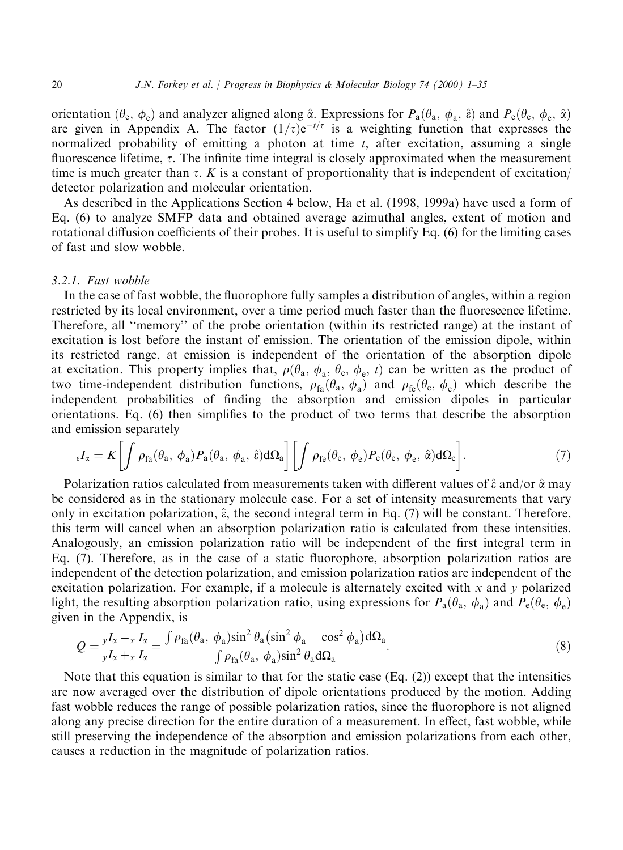orientation  $(\theta_e, \phi_e)$  and analyzer aligned along  $\hat{\alpha}$ . Expressions for  $P_a (\theta_a, \phi_a, \hat{\varepsilon})$  and  $P_e (\theta_e, \phi_e, \hat{\alpha})$ are given in Appendix A. The factor  $(1/\tau)e^{-t/\tau}$  is a weighting function that expresses the normalized probability of emitting a photon at time  $t$ , after excitation, assuming a single fluorescence lifetime,  $\tau$ . The infinite time integral is closely approximated when the measurement time is much greater than  $\tau$ . K is a constant of proportionality that is independent of excitation/ detector polarization and molecular orientation.

As described in the Applications Section 4 below, Ha et al. (1998, 1999a) have used a form of Eq. (6) to analyze SMFP data and obtained average azimuthal angles, extent of motion and rotational diffusion coefficients of their probes. It is useful to simplify Eq. (6) for the limiting cases of fast and slow wobble.

#### 3.2.1. Fast wobble

In the case of fast wobble, the fluorophore fully samples a distribution of angles, within a region restricted by its local environment, over a time period much faster than the fluorescence lifetime. Therefore, all ''memory'' of the probe orientation (within its restricted range) at the instant of excitation is lost before the instant of emission. The orientation of the emission dipole, within its restricted range, at emission is independent of the orientation of the absorption dipole at excitation. This property implies that,  $\rho(\theta_a, \phi_a, \theta_e, \phi_e, t)$  can be written as the product of two time-independent distribution functions,  $\rho_{fa}(\theta_a, \phi_a)$  and  $\rho_{fe}(\theta_e, \phi_e)$  which describe the independent probabilities of finding the absorption and emission dipoles in particular orientations. Eq. (6) then simplifies to the product of two terms that describe the absorption and emission separately

$$
{}_{\varepsilon}I_{\alpha} = K \left[ \int \rho_{\text{fa}}(\theta_{\text{a}}, \phi_{\text{a}}) P_{\text{a}}(\theta_{\text{a}}, \phi_{\text{a}}, \hat{\varepsilon}) d\Omega_{\text{a}} \right] \left[ \int \rho_{\text{fe}}(\theta_{\text{e}}, \phi_{\text{e}}) P_{\text{e}}(\theta_{\text{e}}, \phi_{\text{e}}, \hat{\alpha}) d\Omega_{\text{e}} \right]. \tag{7}
$$

Polarization ratios calculated from measurements taken with different values of  $\hat{\epsilon}$  and/or  $\hat{\alpha}$  may be considered as in the stationary molecule case. For a set of intensity measurements that vary only in excitation polarization,  $\hat{\epsilon}$ , the second integral term in Eq. (7) will be constant. Therefore, this term will cancel when an absorption polarization ratio is calculated from these intensities. Analogously, an emission polarization ratio will be independent of the first integral term in Eq. (7). Therefore, as in the case of a static fluorophore, absorption polarization ratios are independent of the detection polarization, and emission polarization ratios are independent of the excitation polarization. For example, if a molecule is alternately excited with x and y polarized light, the resulting absorption polarization ratio, using expressions for  $P_a(\theta_a, \phi_a)$  and  $P_e(\theta_e, \phi_e)$ given in the Appendix, is

$$
Q = \frac{{}_yI_\alpha - _xI_\alpha}{{}_yI_\alpha + _xI_\alpha} = \frac{\int \rho_{fa}(\theta_a, \ \phi_a)\sin^2\theta_a(\sin^2\phi_a - \cos^2\phi_a)d\Omega_a}{\int \rho_{fa}(\theta_a, \ \phi_a)\sin^2\theta_a d\Omega_a}.
$$
 (8)

Note that this equation is similar to that for the static case  $(Eq. (2))$  except that the intensities are now averaged over the distribution of dipole orientations produced by the motion. Adding fast wobble reduces the range of possible polarization ratios, since the fluorophore is not aligned along any precise direction for the entire duration of a measurement. In effect, fast wobble, while still preserving the independence of the absorption and emission polarizations from each other, causes a reduction in the magnitude of polarization ratios.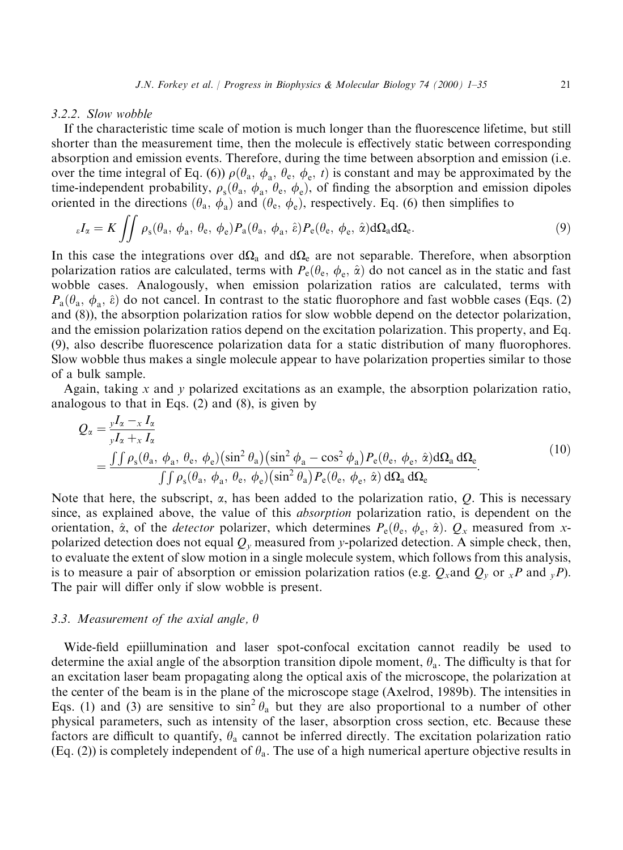#### 3.2.2. Slow wobble

If the characteristic time scale of motion is much longer than the fluorescence lifetime, but still shorter than the measurement time, then the molecule is effectively static between corresponding absorption and emission events. Therefore, during the time between absorption and emission (i.e. over the time integral of Eq. (6))  $\rho(\theta_a, \phi_a, \theta_e, \phi_e, t)$  is constant and may be approximated by the time-independent probability,  $\rho_s(\theta_a, \phi_a, \theta_e, \phi_e)$ , of finding the absorption and emission dipoles oriented in the directions  $(\theta_a, \phi_a)$  and  $(\theta_e, \phi_e)$ , respectively. Eq. (6) then simplifies to

$$
{}_{\varepsilon}I_{\alpha} = K \iint \rho_{\rm s}(\theta_{\rm a}, \phi_{\rm a}, \theta_{\rm e}, \phi_{\rm e}) P_{\rm a}(\theta_{\rm a}, \phi_{\rm a}, \hat{\varepsilon}) P_{\rm e}(\theta_{\rm e}, \phi_{\rm e}, \hat{\alpha}) d\Omega_{\rm a} d\Omega_{\rm e}.
$$
 (9)

In this case the integrations over  $d\Omega_a$  and  $d\Omega_e$  are not separable. Therefore, when absorption polarization ratios are calculated, terms with  $P_e(\theta_e, \phi_e, \hat{\alpha})$  do not cancel as in the static and fast wobble cases. Analogously, when emission polarization ratios are calculated, terms with  $P_a(\theta_a, \phi_a, \hat{\varepsilon})$  do not cancel. In contrast to the static fluorophore and fast wobble cases (Eqs. (2) and (8)), the absorption polarization ratios for slow wobble depend on the detector polarization, and the emission polarization ratios depend on the excitation polarization. This property, and Eq. (9), also describe fluorescence polarization data for a static distribution of many fluorophores. Slow wobble thus makes a single molecule appear to have polarization properties similar to those of a bulk sample.

Again, taking  $x$  and  $y$  polarized excitations as an example, the absorption polarization ratio, analogous to that in Eqs. (2) and (8), is given by

$$
Q_{\alpha} = \frac{yI_{\alpha} - xI_{\alpha}}{yI_{\alpha} + xI_{\alpha}}
$$
  
= 
$$
\frac{\int \int \rho_{s}(\theta_{a}, \phi_{a}, \theta_{e}, \phi_{e})(\sin^{2}\theta_{a})(\sin^{2}\phi_{a} - \cos^{2}\phi_{a})P_{e}(\theta_{e}, \phi_{e}, \hat{\alpha})d\Omega_{a} d\Omega_{e}}{\int \int \rho_{s}(\theta_{a}, \phi_{a}, \theta_{e}, \phi_{e})(\sin^{2}\theta_{a})P_{e}(\theta_{e}, \phi_{e}, \hat{\alpha}) d\Omega_{a} d\Omega_{e}}.
$$
(10)

Note that here, the subscript,  $\alpha$ , has been added to the polarization ratio, Q. This is necessary since, as explained above, the value of this absorption polarization ratio, is dependent on the orientation,  $\hat{\alpha}$ , of the *detector* polarizer, which determines  $P_e (\theta_e, \phi_e, \hat{\alpha})$ .  $Q_x$  measured from xpolarized detection does not equal  $Q<sub>v</sub>$  measured from y-polarized detection. A simple check, then, to evaluate the extent of slow motion in a single molecule system, which follows from this analysis, is to measure a pair of absorption or emission polarization ratios (e.g.  $Q_x$  and  $Q_y$  or  $_xP$  and  $_yP$ ). The pair will differ only if slow wobble is present.

# 3.3. Measurement of the axial angle,  $\theta$

Wide-field epiillumination and laser spot-confocal excitation cannot readily be used to determine the axial angle of the absorption transition dipole moment,  $\theta_a$ . The difficulty is that for an excitation laser beam propagating along the optical axis of the microscope, the polarization at the center of the beam is in the plane of the microscope stage (Axelrod, 1989b). The intensities in Eqs. (1) and (3) are sensitive to  $\sin^2 \theta_a$  but they are also proportional to a number of other physical parameters, such as intensity of the laser, absorption cross section, etc. Because these factors are difficult to quantify,  $\theta_a$  cannot be inferred directly. The excitation polarization ratio (Eq. (2)) is completely independent of  $\theta_a$ . The use of a high numerical aperture objective results in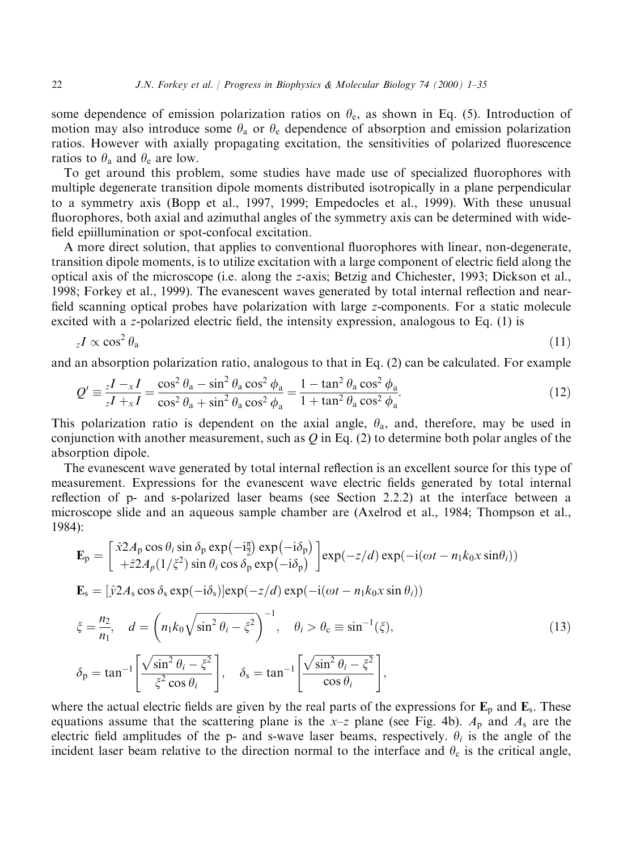some dependence of emission polarization ratios on  $\theta_e$ , as shown in Eq. (5). Introduction of motion may also introduce some  $\theta_a$  or  $\theta_e$  dependence of absorption and emission polarization ratios. However with axially propagating excitation, the sensitivities of polarized fluorescence ratios to  $\theta_a$  and  $\theta_e$  are low.

To get around this problem, some studies have made use of specialized fluorophores with multiple degenerate transition dipole moments distributed isotropically in a plane perpendicular to a symmetry axis (Bopp et al., 1997, 1999; Empedocles et al., 1999). With these unusual fluorophores, both axial and azimuthal angles of the symmetry axis can be determined with widefield epiillumination or spot-confocal excitation.

A more direct solution, that applies to conventional fluorophores with linear, non-degenerate, transition dipole moments, is to utilize excitation with a large component of electric field along the optical axis of the microscope (i.e. along the z-axis; Betzig and Chichester, 1993; Dickson et al., 1998; Forkey et al., 1999). The evanescent waves generated by total internal reflection and nearfield scanning optical probes have polarization with large z-components. For a static molecule excited with a z-polarized electric field, the intensity expression, analogous to Eq. (1) is

$$
zI \propto \cos^2 \theta_a \tag{11}
$$

and an absorption polarization ratio, analogous to that in Eq. (2) can be calculated. For example

$$
Q' = \frac{zI - xI}{zI + xI} = \frac{\cos^2 \theta_a - \sin^2 \theta_a \cos^2 \phi_a}{\cos^2 \theta_a + \sin^2 \theta_a \cos^2 \phi_a} = \frac{1 - \tan^2 \theta_a \cos^2 \phi_a}{1 + \tan^2 \theta_a \cos^2 \phi_a}.
$$
(12)

This polarization ratio is dependent on the axial angle,  $\theta_a$ , and, therefore, may be used in conjunction with another measurement, such as  $Q$  in Eq. (2) to determine both polar angles of the absorption dipole.

The evanescent wave generated by total internal reflection is an excellent source for this type of measurement. Expressions for the evanescent wave electric fields generated by total internal reflection of p- and s-polarized laser beams (see Section 2.2.2) at the interface between a microscope slide and an aqueous sample chamber are (Axelrod et al., 1984; Thompson et al., 1984):

$$
\mathbf{E}_{\mathbf{p}} = \begin{bmatrix} \hat{x}2A_{\mathbf{p}}\cos\theta_{i}\sin\delta_{\mathbf{p}}\exp(-i\frac{\pi}{2})\exp(-i\delta_{\mathbf{p}}) \\ +\hat{z}2A_{p}(1/\xi^{2})\sin\theta_{i}\cos\delta_{\mathbf{p}}\exp(-i\delta_{\mathbf{p}}) \end{bmatrix} \exp(-z/d)\exp(-i(\omega t - n_{1}k_{0}x\sin\theta_{i}))
$$
  
\n
$$
\mathbf{E}_{\mathbf{s}} = [\hat{y}2A_{\mathbf{s}}\cos\delta_{\mathbf{s}}\exp(-i\delta_{\mathbf{s}})]\exp(-z/d)\exp(-i(\omega t - n_{1}k_{0}x\sin\theta_{i}))
$$
  
\n
$$
\xi = \frac{n_{2}}{n_{1}}, \quad d = \left(n_{1}k_{0}\sqrt{\sin^{2}\theta_{i} - \xi^{2}}\right)^{-1}, \quad \theta_{i} > \theta_{c} \equiv \sin^{-1}(\xi),
$$
  
\n
$$
\delta_{\mathbf{p}} = \tan^{-1}\left[\frac{\sqrt{\sin^{2}\theta_{i} - \xi^{2}}}{\xi^{2}\cos\theta_{i}}\right], \quad \delta_{\mathbf{s}} = \tan^{-1}\left[\frac{\sqrt{\sin^{2}\theta_{i} - \xi^{2}}}{\cos\theta_{i}}\right],
$$
\n(13)

where the actual electric fields are given by the real parts of the expressions for  $E_p$  and  $E_s$ . These equations assume that the scattering plane is the  $x-z$  plane (see Fig. 4b).  $A_p$  and  $A_s$  are the electric field amplitudes of the p- and s-wave laser beams, respectively.  $\theta_i$  is the angle of the incident laser beam relative to the direction normal to the interface and  $\theta_c$  is the critical angle,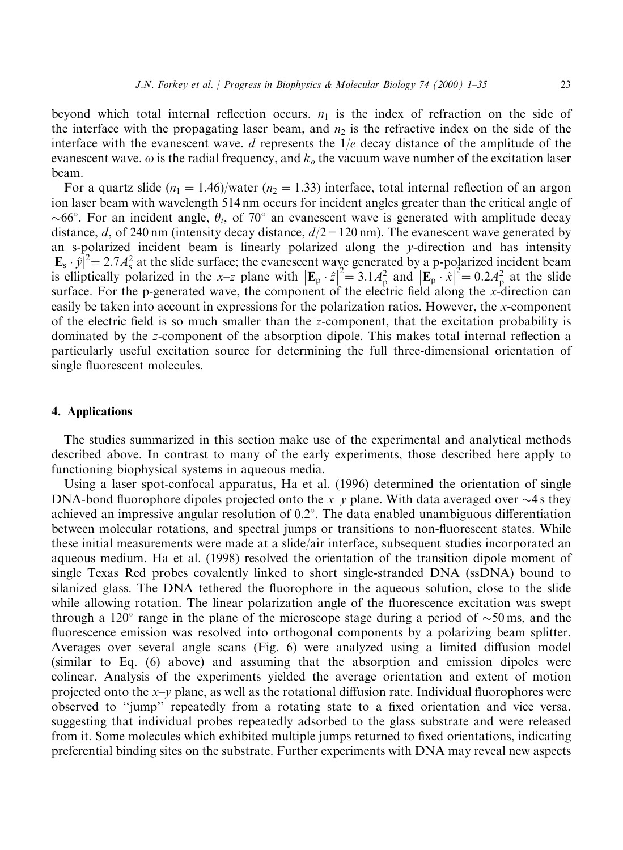beyond which total internal reflection occurs.  $n_1$  is the index of refraction on the side of the interface with the propagating laser beam, and  $n<sub>2</sub>$  is the refractive index on the side of the interface with the evanescent wave. d represents the  $1/e$  decay distance of the amplitude of the evanescent wave.  $\omega$  is the radial frequency, and  $k_0$  the vacuum wave number of the excitation laser beam.

For a quartz slide  $(n_1 = 1.46)$ /water  $(n_2 = 1.33)$  interface, total internal reflection of an argon ion laser beam with wavelength 514 nm occurs for incident angles greater than the critical angle of  $\sim 66^\circ$ . For an incident angle,  $\theta_i$ , of 70° an evanescent wave is generated with amplitude decay distance, d, of 240 nm (intensity decay distance,  $d/2 = 120$  nm). The evanescent wave generated by an s-polarized incident beam is linearly polarized along the y-direction and has intensity  $|\mathbf{E}_s \cdot \hat{y}|^2 = 2.7A_s^2$  at the slide surface; the evanescent wave generated by a p-polarized incident beam is elliptically polarized in the x-z plane with  $|\mathbf{E}_p \cdot \hat{z}|^2 = 3.1 A_p^2$  and  $|\mathbf{E}_p \cdot \hat{x}|^2 = 0.2 A_p^2$  at the slide surface. For the p-generated wave, the component of the electric field along the x-direction can easily be taken into account in expressions for the polarization ratios. However, the x-component of the electric field is so much smaller than the z-component, that the excitation probability is dominated by the z-component of the absorption dipole. This makes total internal reflection a particularly useful excitation source for determining the full three-dimensional orientation of single fluorescent molecules.

#### 4. Applications

The studies summarized in this section make use of the experimental and analytical methods described above. In contrast to many of the early experiments, those described here apply to functioning biophysical systems in aqueous media.

Using a laser spot-confocal apparatus, Ha et al. (1996) determined the orientation of single DNA-bond fluorophore dipoles projected onto the  $x-y$  plane. With data averaged over  $\sim$ 4 s they achieved an impressive angular resolution of  $0.2^{\circ}$ . The data enabled unambiguous differentiation between molecular rotations, and spectral jumps or transitions to non-fluorescent states. While these initial measurements were made at a slide/air interface, subsequent studies incorporated an aqueous medium. Ha et al. (1998) resolved the orientation of the transition dipole moment of single Texas Red probes covalently linked to short single-stranded DNA (ssDNA) bound to silanized glass. The DNA tethered the fluorophore in the aqueous solution, close to the slide while allowing rotation. The linear polarization angle of the fluorescence excitation was swept through a 120° range in the plane of the microscope stage during a period of  $\sim$ 50 ms, and the fluorescence emission was resolved into orthogonal components by a polarizing beam splitter. Averages over several angle scans (Fig. 6) were analyzed using a limited diffusion model (similar to Eq. (6) above) and assuming that the absorption and emission dipoles were colinear. Analysis of the experiments yielded the average orientation and extent of motion projected onto the  $x-y$  plane, as well as the rotational diffusion rate. Individual fluorophores were observed to ''jump'' repeatedly from a rotating state to a fixed orientation and vice versa, suggesting that individual probes repeatedly adsorbed to the glass substrate and were released from it. Some molecules which exhibited multiple jumps returned to fixed orientations, indicating preferential binding sites on the substrate. Further experiments with DNA may reveal new aspects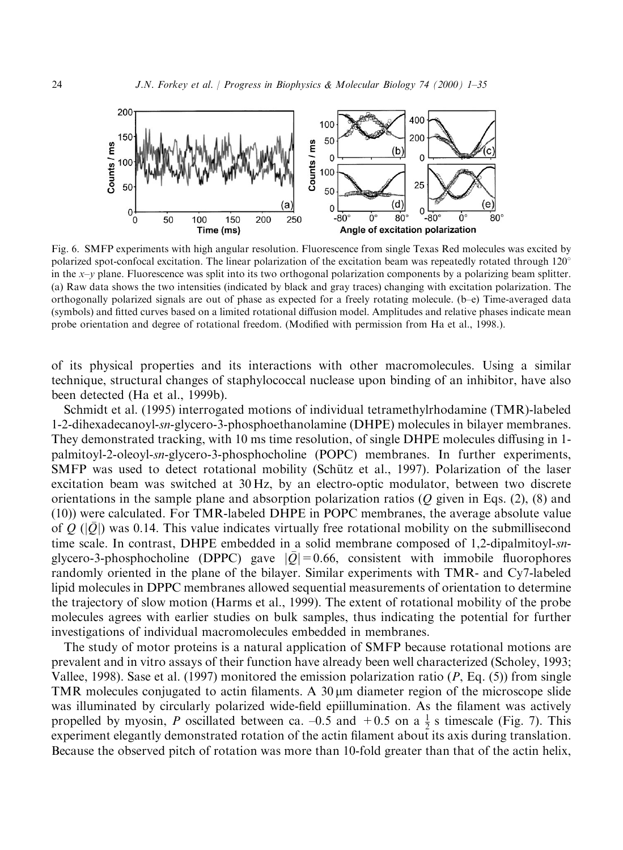

Fig. 6. SMFP experiments with high angular resolution. Fluorescence from single Texas Red molecules was excited by polarized spot-confocal excitation. The linear polarization of the excitation beam was repeatedly rotated through  $120^\circ$ in the  $x-y$  plane. Fluorescence was split into its two orthogonal polarization components by a polarizing beam splitter. (a) Raw data shows the two intensities (indicated by black and gray traces) changing with excitation polarization. The orthogonally polarized signals are out of phase as expected for a freely rotating molecule. (b–e) Time-averaged data (symbols) and fitted curves based on a limited rotational diffusion model. Amplitudes and relative phases indicate mean probe orientation and degree of rotational freedom. (Modified with permission from Ha et al., 1998.).

of its physical properties and its interactions with other macromolecules. Using a similar technique, structural changes of staphylococcal nuclease upon binding of an inhibitor, have also been detected (Ha et al., 1999b).

Schmidt et al. (1995) interrogated motions of individual tetramethylrhodamine (TMR)-labeled 1-2-dihexadecanoyl-sn-glycero-3-phosphoethanolamine (DHPE) molecules in bilayer membranes. They demonstrated tracking, with 10 ms time resolution, of single DHPE molecules diffusing in 1 palmitoyl-2-oleoyl-sn-glycero-3-phosphocholine (POPC) membranes. In further experiments, SMFP was used to detect rotational mobility (Schütz et al., 1997). Polarization of the laser excitation beam was switched at 30 Hz, by an electro-optic modulator, between two discrete orientations in the sample plane and absorption polarization ratios ( $Q$  given in Eqs. (2), (8) and (10)) were calculated. For TMR-labeled DHPE in POPC membranes, the average absolute value of O ( $|\overline{O}|$ ) was 0.14. This value indicates virtually free rotational mobility on the submillisecond time scale. In contrast, DHPE embedded in a solid membrane composed of 1,2-dipalmitoyl-snglycero-3-phosphocholine (DPPC) gave  $|\overline{Q}|=0.66$ , consistent with immobile fluorophores randomly oriented in the plane of the bilayer. Similar experiments with TMR- and Cy7-labeled lipid molecules in DPPC membranes allowed sequential measurements of orientation to determine the trajectory of slow motion (Harms et al., 1999). The extent of rotational mobility of the probe molecules agrees with earlier studies on bulk samples, thus indicating the potential for further investigations of individual macromolecules embedded in membranes.

The study of motor proteins is a natural application of SMFP because rotational motions are prevalent and in vitro assays of their function have already been well characterized (Scholey, 1993; Vallee, 1998). Sase et al. (1997) monitored the emission polarization ratio  $(P, Eq. (5))$  from single TMR molecules conjugated to actin filaments. A  $30 \mu m$  diameter region of the microscope slide was illuminated by circularly polarized wide-field epiillumination. As the filament was actively propelled by myosin, P oscillated between ca.  $-0.5$  and  $+0.5$  on a  $\frac{1}{2}$  s timescale (Fig. 7). This experiment elegantly demonstrated rotation of the actin filament about its axis during translation. Because the observed pitch of rotation was more than 10-fold greater than that of the actin helix,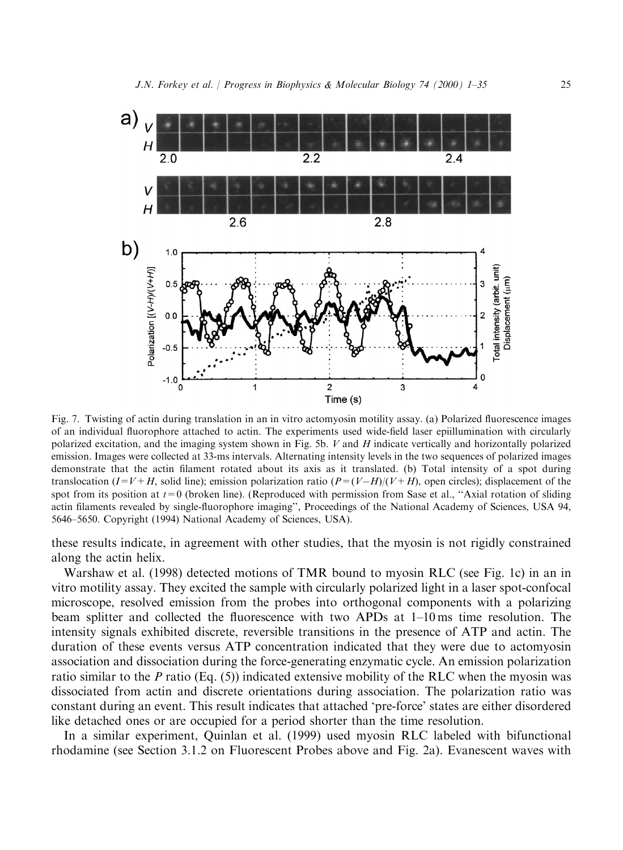

Fig. 7. Twisting of actin during translation in an in vitro actomyosin motility assay. (a) Polarized fluorescence images of an individual fluorophore attached to actin. The experiments used wide-field laser epiillumination with circularly polarized excitation, and the imaging system shown in Fig. 5b.  $V$  and  $H$  indicate vertically and horizontally polarized emission. Images were collected at 33-ms intervals. Alternating intensity levels in the two sequences of polarized images demonstrate that the actin filament rotated about its axis as it translated. (b) Total intensity of a spot during translocation ( $I=V+H$ , solid line); emission polarization ratio ( $P=(V-H)/(V+H)$ , open circles); displacement of the spot from its position at  $t=0$  (broken line). (Reproduced with permission from Sase et al., "Axial rotation of sliding actin filaments revealed by single-fluorophore imaging'', Proceedings of the National Academy of Sciences, USA 94, 5646–5650. Copyright (1994) National Academy of Sciences, USA).

these results indicate, in agreement with other studies, that the myosin is not rigidly constrained along the actin helix.

Warshaw et al. (1998) detected motions of TMR bound to myosin RLC (see Fig. 1c) in an in vitro motility assay. They excited the sample with circularly polarized light in a laser spot-confocal microscope, resolved emission from the probes into orthogonal components with a polarizing beam splitter and collected the fluorescence with two APDs at 1–10 ms time resolution. The intensity signals exhibited discrete, reversible transitions in the presence of ATP and actin. The duration of these events versus ATP concentration indicated that they were due to actomyosin association and dissociation during the force-generating enzymatic cycle. An emission polarization ratio similar to the P ratio (Eq.  $(5)$ ) indicated extensive mobility of the RLC when the myosin was dissociated from actin and discrete orientations during association. The polarization ratio was constant during an event. This result indicates that attached 'pre-force' states are either disordered like detached ones or are occupied for a period shorter than the time resolution.

In a similar experiment, Quinlan et al. (1999) used myosin RLC labeled with bifunctional rhodamine (see Section 3.1.2 on Fluorescent Probes above and Fig. 2a). Evanescent waves with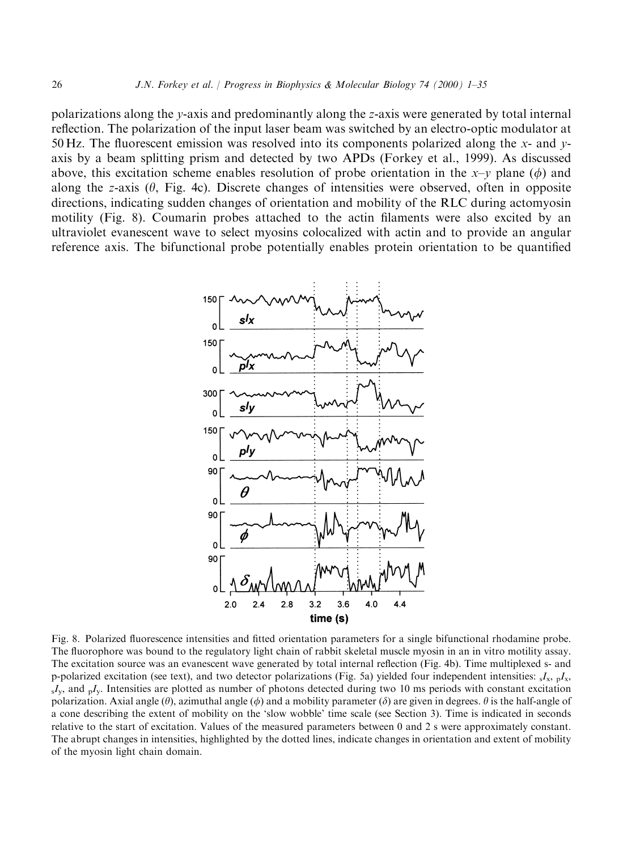polarizations along the y-axis and predominantly along the z-axis were generated by total internal reflection. The polarization of the input laser beam was switched by an electro-optic modulator at 50 Hz. The fluorescent emission was resolved into its components polarized along the  $x$ - and  $y$ axis by a beam splitting prism and detected by two APDs (Forkey et al., 1999). As discussed above, this excitation scheme enables resolution of probe orientation in the  $x-y$  plane ( $\phi$ ) and along the z-axis ( $\theta$ , Fig. 4c). Discrete changes of intensities were observed, often in opposite directions, indicating sudden changes of orientation and mobility of the RLC during actomyosin motility (Fig. 8). Coumarin probes attached to the actin filaments were also excited by an ultraviolet evanescent wave to select myosins colocalized with actin and to provide an angular reference axis. The bifunctional probe potentially enables protein orientation to be quantified



Fig. 8. Polarized fluorescence intensities and fitted orientation parameters for a single bifunctional rhodamine probe. The fluorophore was bound to the regulatory light chain of rabbit skeletal muscle myosin in an in vitro motility assay. The excitation source was an evanescent wave generated by total internal reflection (Fig. 4b). Time multiplexed s- and p-polarized excitation (see text), and two detector polarizations (Fig. 5a) yielded four independent intensities:  $s_1s_2, s_2s_3$  $sI_y$ , and  $pI_y$ . Intensities are plotted as number of photons detected during two 10 ms periods with constant excitation polarization. Axial angle ( $\theta$ ), azimuthal angle ( $\phi$ ) and a mobility parameter ( $\delta$ ) are given in degrees.  $\theta$  is the half-angle of a cone describing the extent of mobility on the 'slow wobble' time scale (see Section 3). Time is indicated in seconds relative to the start of excitation. Values of the measured parameters between 0 and 2 s were approximately constant. The abrupt changes in intensities, highlighted by the dotted lines, indicate changes in orientation and extent of mobility of the myosin light chain domain.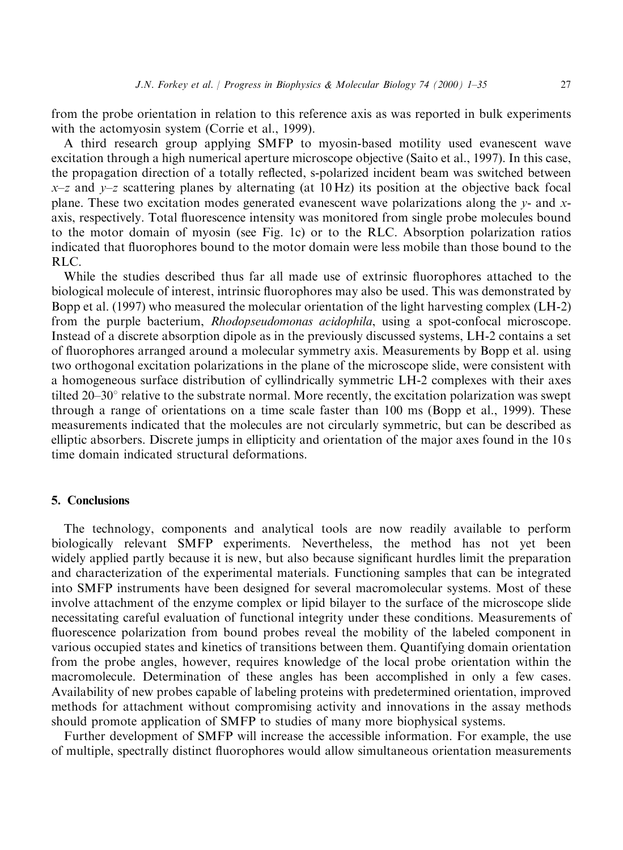from the probe orientation in relation to this reference axis as was reported in bulk experiments with the actomyosin system (Corrie et al., 1999).

A third research group applying SMFP to myosin-based motility used evanescent wave excitation through a high numerical aperture microscope objective (Saito et al., 1997). In this case, the propagation direction of a totally reflected, s-polarized incident beam was switched between  $x-z$  and  $y-z$  scattering planes by alternating (at 10 Hz) its position at the objective back focal plane. These two excitation modes generated evanescent wave polarizations along the  $\nu$ - and xaxis, respectively. Total fluorescence intensity was monitored from single probe molecules bound to the motor domain of myosin (see Fig. 1c) or to the RLC. Absorption polarization ratios indicated that fluorophores bound to the motor domain were less mobile than those bound to the RLC.

While the studies described thus far all made use of extrinsic fluorophores attached to the biological molecule of interest, intrinsic fluorophores may also be used. This was demonstrated by Bopp et al. (1997) who measured the molecular orientation of the light harvesting complex (LH-2) from the purple bacterium, Rhodopseudomonas acidophila, using a spot-confocal microscope. Instead of a discrete absorption dipole as in the previously discussed systems, LH-2 contains a set of fluorophores arranged around a molecular symmetry axis. Measurements by Bopp et al. using two orthogonal excitation polarizations in the plane of the microscope slide, were consistent with a homogeneous surface distribution of cyllindrically symmetric LH-2 complexes with their axes tilted  $20-30^{\circ}$  relative to the substrate normal. More recently, the excitation polarization was swept through a range of orientations on a time scale faster than 100 ms (Bopp et al., 1999). These measurements indicated that the molecules are not circularly symmetric, but can be described as elliptic absorbers. Discrete jumps in ellipticity and orientation of the major axes found in the 10 s time domain indicated structural deformations.

# 5. Conclusions

The technology, components and analytical tools are now readily available to perform biologically relevant SMFP experiments. Nevertheless, the method has not yet been widely applied partly because it is new, but also because significant hurdles limit the preparation and characterization of the experimental materials. Functioning samples that can be integrated into SMFP instruments have been designed for several macromolecular systems. Most of these involve attachment of the enzyme complex or lipid bilayer to the surface of the microscope slide necessitating careful evaluation of functional integrity under these conditions. Measurements of fluorescence polarization from bound probes reveal the mobility of the labeled component in various occupied states and kinetics of transitions between them. Quantifying domain orientation from the probe angles, however, requires knowledge of the local probe orientation within the macromolecule. Determination of these angles has been accomplished in only a few cases. Availability of new probes capable of labeling proteins with predetermined orientation, improved methods for attachment without compromising activity and innovations in the assay methods should promote application of SMFP to studies of many more biophysical systems.

Further development of SMFP will increase the accessible information. For example, the use of multiple, spectrally distinct fluorophores would allow simultaneous orientation measurements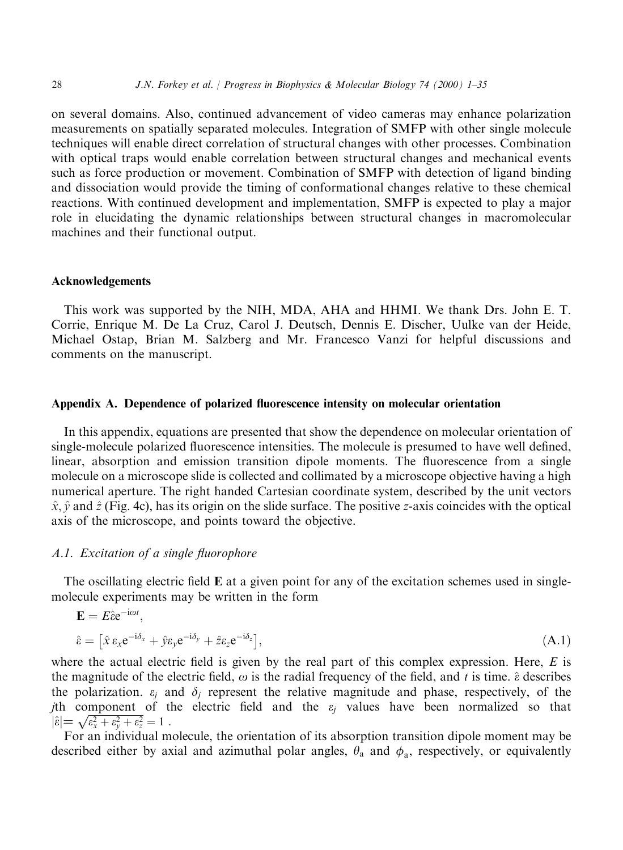on several domains. Also, continued advancement of video cameras may enhance polarization measurements on spatially separated molecules. Integration of SMFP with other single molecule techniques will enable direct correlation of structural changes with other processes. Combination with optical traps would enable correlation between structural changes and mechanical events such as force production or movement. Combination of SMFP with detection of ligand binding and dissociation would provide the timing of conformational changes relative to these chemical reactions. With continued development and implementation, SMFP is expected to play a major role in elucidating the dynamic relationships between structural changes in macromolecular machines and their functional output.

#### Acknowledgements

This work was supported by the NIH, MDA, AHA and HHMI. We thank Drs. John E. T. Corrie, Enrique M. De La Cruz, Carol J. Deutsch, Dennis E. Discher, Uulke van der Heide, Michael Ostap, Brian M. Salzberg and Mr. Francesco Vanzi for helpful discussions and comments on the manuscript.

# Appendix A. Dependence of polarized fluorescence intensity on molecular orientation

In this appendix, equations are presented that show the dependence on molecular orientation of single-molecule polarized fluorescence intensities. The molecule is presumed to have well defined, linear, absorption and emission transition dipole moments. The fluorescence from a single molecule on a microscope slide is collected and collimated by a microscope objective having a high numerical aperture. The right handed Cartesian coordinate system, described by the unit vectors  $\hat{x}, \hat{y}$  and  $\hat{z}$  (Fig. 4c), has its origin on the slide surface. The positive z-axis coincides with the optical axis of the microscope, and points toward the objective.

#### A.1. Excitation of a single fluorophore

The oscillating electric field **E** at a given point for any of the excitation schemes used in singlemolecule experiments may be written in the form

$$
\mathbf{E} = E\hat{\epsilon}e^{-i\omega t},
$$
  
\n
$$
\hat{\epsilon} = \left[\hat{x}\,\varepsilon_{x}e^{-i\delta_{x}} + \hat{y}\varepsilon_{y}e^{-i\delta_{y}} + \hat{z}\varepsilon_{z}e^{-i\delta_{z}}\right],
$$
\n(A.1)

where the actual electric field is given by the real part of this complex expression. Here,  $E$  is the magnitude of the electric field,  $\omega$  is the radial frequency of the field, and t is time.  $\hat{\epsilon}$  describes the polarization.  $\varepsilon_i$  and  $\delta_i$  represent the relative magnitude and phase, respectively, of the jth component of the electric field and the  $\varepsilon_i$  values have been normalized so that  $|\hat{\varepsilon}| = \sqrt{\varepsilon_x^2 + \varepsilon_y^2 + \varepsilon_z^2} = 1$ .

For an individual molecule, the orientation of its absorption transition dipole moment may be described either by axial and azimuthal polar angles,  $\theta_a$  and  $\phi_a$ , respectively, or equivalently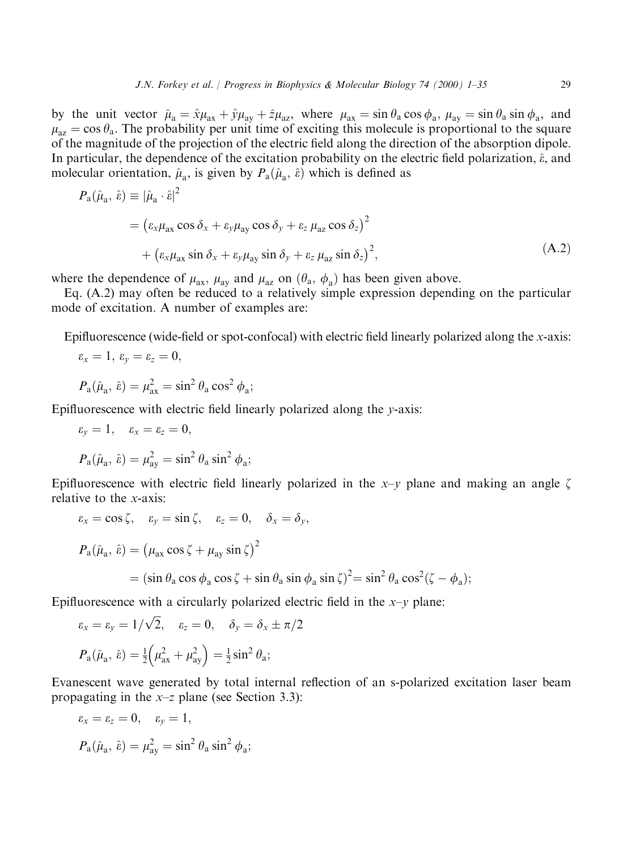by the unit vector  $\hat{\mu}_a = \hat{x}\mu_{ax} + \hat{y}\mu_{ay} + \hat{z}\mu_{az}$ , where  $\mu_{ax} = \sin \theta_a \cos \phi_a$ ,  $\mu_{ay} = \sin \theta_a \sin \phi_a$ , and  $\mu_{az} = \cos \theta_a$ . The probability per unit time of exciting this molecule is proportional to the square of the magnitude of the projection of the electric field along the direction of the absorption dipole. In particular, the dependence of the excitation probability on the electric field polarization,  $\hat{\epsilon}$ , and molecular orientation,  $\hat{\mu}_a$ , is given by  $P_a (\hat{\mu}_a, \hat{\varepsilon})$  which is defined as

$$
P_{\rm a}(\hat{\mu}_{\rm a},\,\hat{\epsilon}) \equiv |\hat{\mu}_{\rm a} \cdot \hat{\epsilon}|^2
$$
  
=  $(\epsilon_x \mu_{\rm ax} \cos \delta_x + \epsilon_y \mu_{\rm ay} \cos \delta_y + \epsilon_z \mu_{\rm az} \cos \delta_z)^2$   
+  $(\epsilon_x \mu_{\rm ax} \sin \delta_x + \epsilon_y \mu_{\rm ay} \sin \delta_y + \epsilon_z \mu_{\rm az} \sin \delta_z)^2$ , (A.2)

where the dependence of  $\mu_{ax}$ ,  $\mu_{ay}$  and  $\mu_{az}$  on  $(\theta_a, \phi_a)$  has been given above.

Eq. (A.2) may often be reduced to a relatively simple expression depending on the particular mode of excitation. A number of examples are:

Epifluorescence (wide-field or spot-confocal) with electric field linearly polarized along the  $x$ -axis:

$$
\varepsilon_x = 1, \ \varepsilon_y = \varepsilon_z = 0,
$$

$$
P_{\rm a}(\hat{\mu}_{\rm a},\,\hat{\varepsilon})=\mu_{\rm ax}^2=\sin^2\theta_{\rm a}\cos^2\phi_{\rm a};
$$

Epifluorescence with electric field linearly polarized along the  $\nu$ -axis:

$$
\varepsilon_y = 1, \quad \varepsilon_x = \varepsilon_z = 0,
$$
  

$$
P_a(\hat{\mu}_a, \hat{\varepsilon}) = \mu_{ay}^2 = \sin^2 \theta_a \sin^2 \phi_a;
$$

Epifluorescence with electric field linearly polarized in the  $x-y$  plane and making an angle  $\zeta$ relative to the  $x$ -axis:

$$
\varepsilon_x = \cos \zeta, \quad \varepsilon_y = \sin \zeta, \quad \varepsilon_z = 0, \quad \delta_x = \delta_y,
$$
  

$$
P_a(\hat{\mu}_a, \hat{\varepsilon}) = (\mu_{ax} \cos \zeta + \mu_{ay} \sin \zeta)^2
$$
  

$$
= (\sin \theta_a \cos \phi_a \cos \zeta + \sin \theta_a \sin \phi_a \sin \zeta)^2 = \sin^2 \theta_a \cos^2(\zeta - \phi_a);
$$

Epifluorescence with a circularly polarized electric field in the  $x-y$  plane:

$$
\varepsilon_x = \varepsilon_y = 1/\sqrt{2}, \quad \varepsilon_z = 0, \quad \delta_y = \delta_x \pm \pi/2
$$
  
\n $P_a(\hat{\mu}_a, \hat{\varepsilon}) = \frac{1}{2} (\mu_{ax}^2 + \mu_{ay}^2) = \frac{1}{2} \sin^2 \theta_a;$ 

Evanescent wave generated by total internal reflection of an s-polarized excitation laser beam propagating in the  $x-z$  plane (see Section 3.3):

$$
\varepsilon_x = \varepsilon_z = 0, \quad \varepsilon_y = 1,
$$
  

$$
P_a(\hat{\mu}_a, \hat{\varepsilon}) = \mu_{ay}^2 = \sin^2 \theta_a \sin^2 \phi_a;
$$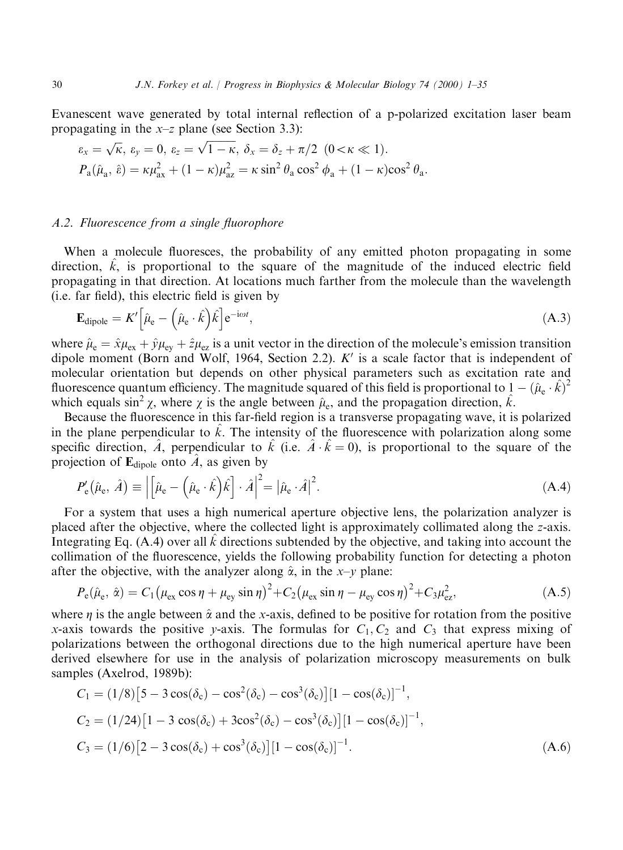Evanescent wave generated by total internal reflection of a p-polarized excitation laser beam propagating in the  $x-z$  plane (see Section 3.3):

$$
\varepsilon_x = \sqrt{\kappa}, \ \varepsilon_y = 0, \ \varepsilon_z = \sqrt{1 - \kappa}, \ \delta_x = \delta_z + \pi/2 \ \ (0 < \kappa \ll 1).
$$
\n
$$
P_a(\hat{\mu}_a, \hat{\varepsilon}) = \kappa \mu_{ax}^2 + (1 - \kappa) \mu_{az}^2 = \kappa \sin^2 \theta_a \cos^2 \phi_a + (1 - \kappa) \cos^2 \theta_a.
$$

#### A.2. Fluorescence from a single fluorophore

When a molecule fluoresces, the probability of any emitted photon propagating in some direction,  $\hat{k}$ , is proportional to the square of the magnitude of the induced electric field propagating in that direction. At locations much farther from the molecule than the wavelength (i.e. far field), this electric field is given by

$$
\mathbf{E}_{\text{dipole}} = K' \left[ \hat{\mu}_{e} - \left( \hat{\mu}_{e} \cdot \hat{k} \right) \hat{k} \right] e^{-i\omega t}, \tag{A.3}
$$

where  $\hat{\mu}_e = \hat{x}\mu_{ex} + \hat{y}\mu_{ev} + \hat{z}\mu_{ez}$  is a unit vector in the direction of the molecule's emission transition dipole moment (Born and Wolf, 1964, Section 2.2).  $K'$  is a scale factor that is independent of molecular orientation but depends on other physical parameters such as excitation rate and fluorescence quantum efficiency. The magnitude squared of this field is proportional to  $1 - (\hat{\mu}_e \cdot \hat{k})^2$ which equals sin<sup>2</sup>  $\chi$ , where  $\chi$  is the angle between  $\hat{\mu}_e$ , and the propagation direction,  $\hat{k}$ .

Because the fluorescence in this far-field region is a transverse propagating wave, it is polarized in the plane perpendicular to  $\hat{k}$ . The intensity of the fluorescence with polarization along some specific direction,  $\hat{A}$ , perpendicular to  $\hat{k}$  (i.e.  $\hat{A} \cdot \hat{k} = 0$ ), is proportional to the square of the projection of  $\mathbf{E}_{\text{dipole}}$  onto  $\hat{A}$ , as given by

$$
P_{\rm e}'(\hat{\mu}_{\rm e},\,\hat{A})\equiv \left|\left[\hat{\mu}_{\rm e}-\left(\hat{\mu}_{\rm e}\cdot\hat{k}\right)\hat{k}\right]\cdot\hat{A}\right|^2=\left|\hat{\mu}_{\rm e}\cdot\hat{A}\right|^2.\tag{A.4}
$$

For a system that uses a high numerical aperture objective lens, the polarization analyzer is placed after the objective, where the collected light is approximately collimated along the z-axis. Integrating Eq. (A.4) over all  $\hat{k}$  directions subtended by the objective, and taking into account the collimation of the fluorescence, yields the following probability function for detecting a photon after the objective, with the analyzer along  $\hat{\alpha}$ , in the x–y plane:

$$
P_{\rm e}(\hat{\mu}_{\rm e},\,\hat{\alpha}) = C_1 \big(\mu_{\rm ex}\cos\eta + \mu_{\rm ey}\sin\eta\big)^2 + C_2 \big(\mu_{\rm ex}\sin\eta - \mu_{\rm ey}\cos\eta\big)^2 + C_3\mu_{\rm ez}^2,\tag{A.5}
$$

where  $\eta$  is the angle between  $\hat{\alpha}$  and the x-axis, defined to be positive for rotation from the positive x-axis towards the positive y-axis. The formulas for  $C_1, C_2$  and  $C_3$  that express mixing of polarizations between the orthogonal directions due to the high numerical aperture have been derived elsewhere for use in the analysis of polarization microscopy measurements on bulk samples (Axelrod, 1989b):

$$
C_1 = (1/8) \left[ 5 - 3 \cos(\delta_c) - \cos^2(\delta_c) - \cos^3(\delta_c) \right] \left[ 1 - \cos(\delta_c) \right]^{-1},
$$
  
\n
$$
C_2 = (1/24) \left[ 1 - 3 \cos(\delta_c) + 3 \cos^2(\delta_c) - \cos^3(\delta_c) \right] \left[ 1 - \cos(\delta_c) \right]^{-1},
$$
  
\n
$$
C_3 = (1/6) \left[ 2 - 3 \cos(\delta_c) + \cos^3(\delta_c) \right] \left[ 1 - \cos(\delta_c) \right]^{-1}.
$$
\n(A.6)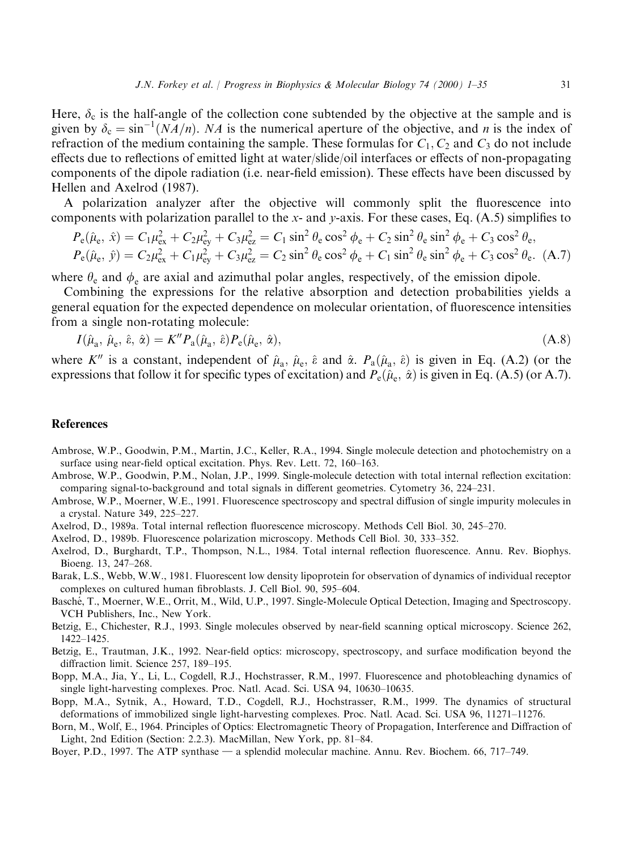Here,  $\delta_c$  is the half-angle of the collection cone subtended by the objective at the sample and is given by  $\delta_c = \sin^{-1}(NA/n)$ . NA is the numerical aperture of the objective, and n is the index of refraction of the medium containing the sample. These formulas for  $C_1$ ,  $C_2$  and  $C_3$  do not include effects due to reflections of emitted light at water/slide/oil interfaces or effects of non-propagating components of the dipole radiation (i.e. near-field emission). These effects have been discussed by Hellen and Axelrod (1987).

A polarization analyzer after the objective will commonly split the fluorescence into components with polarization parallel to the x- and y-axis. For these cases, Eq.  $(A.5)$  simplifies to

$$
P_e(\hat{\mu}_e, \hat{x}) = C_1 \mu_{ex}^2 + C_2 \mu_{ey}^2 + C_3 \mu_{ez}^2 = C_1 \sin^2 \theta_e \cos^2 \phi_e + C_2 \sin^2 \theta_e \sin^2 \phi_e + C_3 \cos^2 \theta_e,
$$
  
\n
$$
P_e(\hat{\mu}_e, \hat{y}) = C_2 \mu_{ex}^2 + C_1 \mu_{ey}^2 + C_3 \mu_{ez}^2 = C_2 \sin^2 \theta_e \cos^2 \phi_e + C_1 \sin^2 \theta_e \sin^2 \phi_e + C_3 \cos^2 \theta_e.
$$
 (A.7)

where  $\theta_e$  and  $\phi_e$  are axial and azimuthal polar angles, respectively, of the emission dipole.

Combining the expressions for the relative absorption and detection probabilities yields a general equation for the expected dependence on molecular orientation, of fluorescence intensities from a single non-rotating molecule:

$$
I(\hat{\mu}_a, \ \hat{\mu}_e, \ \hat{\varepsilon}, \ \hat{\alpha}) = K'' P_a(\hat{\mu}_a, \ \hat{\varepsilon}) P_e(\hat{\mu}_e, \ \hat{\alpha}), \tag{A.8}
$$

where K<sup>n</sup> is a constant, independent of  $\hat{\mu}_a$ ,  $\hat{\mu}_e$ ,  $\hat{\varepsilon}$  and  $\hat{\alpha}$ .  $P_a (\hat{\mu}_a, \hat{\varepsilon})$  is given in Eq. (A.2) (or the expressions that follow it for specific types of excitation) and  $P_e(\hat{\mu}_e, \hat{\alpha})$  is given in Eq. (A.5) (or A.7).

#### **References**

- Ambrose, W.P., Goodwin, P.M., Martin, J.C., Keller, R.A., 1994. Single molecule detection and photochemistry on a surface using near-field optical excitation. Phys. Rev. Lett. 72, 160–163.
- Ambrose, W.P., Goodwin, P.M., Nolan, J.P., 1999. Single-molecule detection with total internal reflection excitation: comparing signal-to-background and total signals in different geometries. Cytometry 36, 224–231.

Ambrose, W.P., Moerner, W.E., 1991. Fluorescence spectroscopy and spectral diffusion of single impurity molecules in a crystal. Nature 349, 225–227.

- Axelrod, D., 1989a. Total internal reflection fluorescence microscopy. Methods Cell Biol. 30, 245–270.
- Axelrod, D., 1989b. Fluorescence polarization microscopy. Methods Cell Biol. 30, 333–352.
- Axelrod, D., Burghardt, T.P., Thompson, N.L., 1984. Total internal reflection fluorescence. Annu. Rev. Biophys. Bioeng. 13, 247–268.
- Barak, L.S., Webb, W.W., 1981. Fluorescent low density lipoprotein for observation of dynamics of individual receptor complexes on cultured human fibroblasts. J. Cell Biol. 90, 595–604.
- Basché, T., Moerner, W.E., Orrit, M., Wild, U.P., 1997. Single-Molecule Optical Detection, Imaging and Spectroscopy. VCH Publishers, Inc., New York.
- Betzig, E., Chichester, R.J., 1993. Single molecules observed by near-field scanning optical microscopy. Science 262, 1422–1425.
- Betzig, E., Trautman, J.K., 1992. Near-field optics: microscopy, spectroscopy, and surface modification beyond the diffraction limit. Science 257, 189–195.
- Bopp, M.A., Jia, Y., Li, L., Cogdell, R.J., Hochstrasser, R.M., 1997. Fluorescence and photobleaching dynamics of single light-harvesting complexes. Proc. Natl. Acad. Sci. USA 94, 10630–10635.
- Bopp, M.A., Sytnik, A., Howard, T.D., Cogdell, R.J., Hochstrasser, R.M., 1999. The dynamics of structural deformations of immobilized single light-harvesting complexes. Proc. Natl. Acad. Sci. USA 96, 11271–11276.
- Born, M., Wolf, E., 1964. Principles of Optics: Electromagnetic Theory of Propagation, Interference and Diffraction of Light, 2nd Edition (Section: 2.2.3). MacMillan, New York, pp. 81–84.
- Boyer, P.D., 1997. The ATP synthase  $-\alpha$  splendid molecular machine. Annu. Rev. Biochem. 66, 717–749.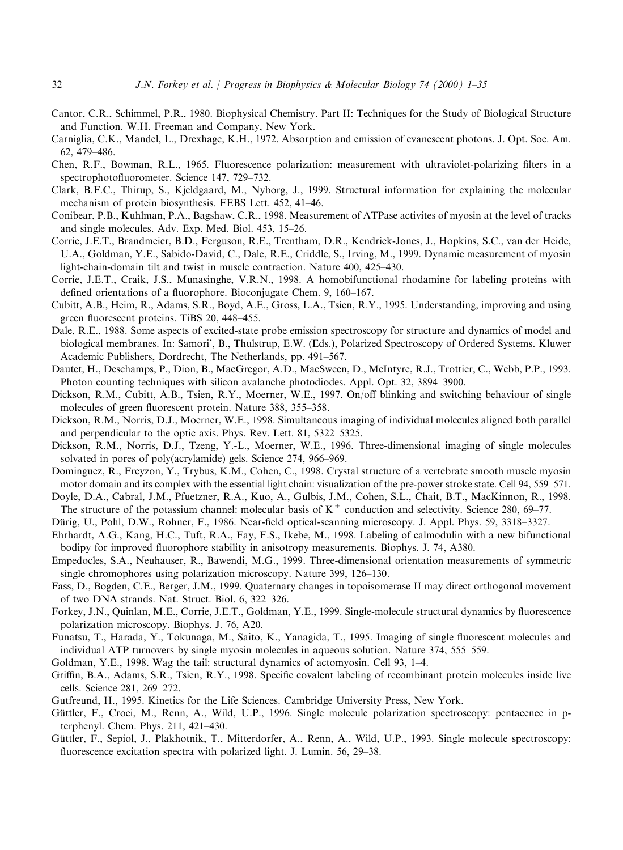- Cantor, C.R., Schimmel, P.R., 1980. Biophysical Chemistry. Part II: Techniques for the Study of Biological Structure and Function. W.H. Freeman and Company, New York.
- Carniglia, C.K., Mandel, L., Drexhage, K.H., 1972. Absorption and emission of evanescent photons. J. Opt. Soc. Am. 62, 479–486.
- Chen, R.F., Bowman, R.L., 1965. Fluorescence polarization: measurement with ultraviolet-polarizing filters in a spectrophotofluorometer. Science 147, 729–732.
- Clark, B.F.C., Thirup, S., Kjeldgaard, M., Nyborg, J., 1999. Structural information for explaining the molecular mechanism of protein biosynthesis. FEBS Lett. 452, 41–46.
- Conibear, P.B., Kuhlman, P.A., Bagshaw, C.R., 1998. Measurement of ATPase activites of myosin at the level of tracks and single molecules. Adv. Exp. Med. Biol. 453, 15–26.
- Corrie, J.E.T., Brandmeier, B.D., Ferguson, R.E., Trentham, D.R., Kendrick-Jones, J., Hopkins, S.C., van der Heide, U.A., Goldman, Y.E., Sabido-David, C., Dale, R.E., Criddle, S., Irving, M., 1999. Dynamic measurement of myosin light-chain-domain tilt and twist in muscle contraction. Nature 400, 425–430.
- Corrie, J.E.T., Craik, J.S., Munasinghe, V.R.N., 1998. A homobifunctional rhodamine for labeling proteins with defined orientations of a fluorophore. Bioconjugate Chem. 9, 160–167.
- Cubitt, A.B., Heim, R., Adams, S.R., Boyd, A.E., Gross, L.A., Tsien, R.Y., 1995. Understanding, improving and using green fluorescent proteins. TiBS 20, 448–455.
- Dale, R.E., 1988. Some aspects of excited-state probe emission spectroscopy for structure and dynamics of model and biological membranes. In: Samori', B., Thulstrup, E.W. (Eds.), Polarized Spectroscopy of Ordered Systems. Kluwer Academic Publishers, Dordrecht, The Netherlands, pp. 491–567.
- Dautet, H., Deschamps, P., Dion, B., MacGregor, A.D., MacSween, D., McIntyre, R.J., Trottier, C., Webb, P.P., 1993. Photon counting techniques with silicon avalanche photodiodes. Appl. Opt. 32, 3894–3900.
- Dickson, R.M., Cubitt, A.B., Tsien, R.Y., Moerner, W.E., 1997. On/off blinking and switching behaviour of single molecules of green fluorescent protein. Nature 388, 355–358.
- Dickson, R.M., Norris, D.J., Moerner, W.E., 1998. Simultaneous imaging of individual molecules aligned both parallel and perpendicular to the optic axis. Phys. Rev. Lett. 81, 5322–5325.
- Dickson, R.M., Norris, D.J., Tzeng, Y.-L., Moerner, W.E., 1996. Three-dimensional imaging of single molecules solvated in pores of poly(acrylamide) gels. Science 274, 966–969.
- Dominguez, R., Freyzon, Y., Trybus, K.M., Cohen, C., 1998. Crystal structure of a vertebrate smooth muscle myosin motor domain and its complex with the essential light chain: visualization of the pre-power stroke state. Cell 94, 559–571.
- Doyle, D.A., Cabral, J.M., Pfuetzner, R.A., Kuo, A., Gulbis, J.M., Cohen, S.L., Chait, B.T., MacKinnon, R., 1998. The structure of the potassium channel: molecular basis of  $K^+$  conduction and selectivity. Science 280, 69–77.
- Dürig, U., Pohl, D.W., Rohner, F., 1986. Near-field optical-scanning microscopy. J. Appl. Phys. 59, 3318–3327.
- Ehrhardt, A.G., Kang, H.C., Tuft, R.A., Fay, F.S., Ikebe, M., 1998. Labeling of calmodulin with a new bifunctional bodipy for improved fluorophore stability in anisotropy measurements. Biophys. J. 74, A380.
- Empedocles, S.A., Neuhauser, R., Bawendi, M.G., 1999. Three-dimensional orientation measurements of symmetric single chromophores using polarization microscopy. Nature 399, 126–130.
- Fass, D., Bogden, C.E., Berger, J.M., 1999. Quaternary changes in topoisomerase II may direct orthogonal movement of two DNA strands. Nat. Struct. Biol. 6, 322–326.
- Forkey, J.N., Quinlan, M.E., Corrie, J.E.T., Goldman, Y.E., 1999. Single-molecule structural dynamics by fluorescence polarization microscopy. Biophys. J. 76, A20.
- Funatsu, T., Harada, Y., Tokunaga, M., Saito, K., Yanagida, T., 1995. Imaging of single fluorescent molecules and individual ATP turnovers by single myosin molecules in aqueous solution. Nature 374, 555–559.
- Goldman, Y.E., 1998. Wag the tail: structural dynamics of actomyosin. Cell 93, 1–4.
- Griffin, B.A., Adams, S.R., Tsien, R.Y., 1998. Specific covalent labeling of recombinant protein molecules inside live cells. Science 281, 269–272.
- Gutfreund, H., 1995. Kinetics for the Life Sciences. Cambridge University Press, New York.
- Güttler, F., Croci, M., Renn, A., Wild, U.P., 1996. Single molecule polarization spectroscopy: pentacence in pterphenyl. Chem. Phys. 211, 421–430.
- Güttler, F., Sepiol, J., Plakhotnik, T., Mitterdorfer, A., Renn, A., Wild, U.P., 1993. Single molecule spectroscopy: fluorescence excitation spectra with polarized light. J. Lumin. 56, 29–38.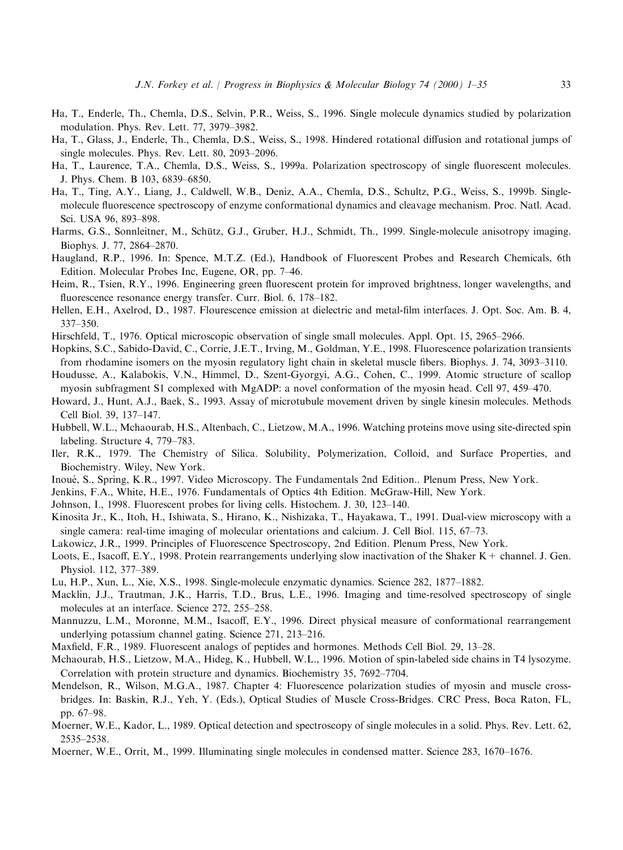- Ha, T., Enderle, Th., Chemla, D.S., Selvin, P.R., Weiss, S., 1996. Single molecule dynamics studied by polarization modulation. Phys. Rev. Lett. 77, 3979–3982.
- Ha, T., Glass, J., Enderle, Th., Chemla, D.S., Weiss, S., 1998. Hindered rotational diffusion and rotational jumps of single molecules. Phys. Rev. Lett. 80, 2093–2096.
- Ha, T., Laurence, T.A., Chemla, D.S., Weiss, S., 1999a. Polarization spectroscopy of single fluorescent molecules. J. Phys. Chem. B 103, 6839–6850.
- Ha, T., Ting, A.Y., Liang, J., Caldwell, W.B., Deniz, A.A., Chemla, D.S., Schultz, P.G., Weiss, S., 1999b. Singlemolecule fluorescence spectroscopy of enzyme conformational dynamics and cleavage mechanism. Proc. Natl. Acad. Sci. USA 96, 893–898.
- Harms, G.S., Sonnleitner, M., Schütz, G.J., Gruber, H.J., Schmidt, Th., 1999. Single-molecule anisotropy imaging. Biophys. J. 77, 2864–2870.
- Haugland, R.P., 1996. In: Spence, M.T.Z. (Ed.), Handbook of Fluorescent Probes and Research Chemicals, 6th Edition. Molecular Probes Inc, Eugene, OR, pp. 7–46.
- Heim, R., Tsien, R.Y., 1996. Engineering green fluorescent protein for improved brightness, longer wavelengths, and fluorescence resonance energy transfer. Curr. Biol. 6, 178–182.
- Hellen, E.H., Axelrod, D., 1987. Flourescence emission at dielectric and metal-film interfaces. J. Opt. Soc. Am. B. 4, 337–350.
- Hirschfeld, T., 1976. Optical microscopic observation of single small molecules. Appl. Opt. 15, 2965–2966.
- Hopkins, S.C., Sabido-David, C., Corrie, J.E.T., Irving, M., Goldman, Y.E., 1998. Fluorescence polarization transients from rhodamine isomers on the myosin regulatory light chain in skeletal muscle fibers. Biophys. J. 74, 3093–3110.
- Houdusse, A., Kalabokis, V.N., Himmel, D., Szent-Gyorgyi, A.G., Cohen, C., 1999. Atomic structure of scallop myosin subfragment S1 complexed with MgADP: a novel conformation of the myosin head. Cell 97, 459–470.
- Howard, J., Hunt, A.J., Baek, S., 1993. Assay of microtubule movement driven by single kinesin molecules. Methods Cell Biol. 39, 137–147.
- Hubbell, W.L., Mchaourab, H.S., Altenbach, C., Lietzow, M.A., 1996. Watching proteins move using site-directed spin labeling. Structure 4, 779–783.
- Iler, R.K., 1979. The Chemistry of Silica. Solubility, Polymerization, Colloid, and Surface Properties, and Biochemistry. Wiley, New York.
- Inoue´, S., Spring, K.R., 1997. Video Microscopy. The Fundamentals 2nd Edition.. Plenum Press, New York.
- Jenkins, F.A., White, H.E., 1976. Fundamentals of Optics 4th Edition. McGraw-Hill, New York.
- Johnson, I., 1998. Fluorescent probes for living cells. Histochem. J. 30, 123–140.
- Kinosita Jr., K., Itoh, H., Ishiwata, S., Hirano, K., Nishizaka, T., Hayakawa, T., 1991. Dual-view microscopy with a single camera: real-time imaging of molecular orientations and calcium. J. Cell Biol. 115, 67–73.
- Lakowicz, J.R., 1999. Principles of Fluorescence Spectroscopy, 2nd Edition. Plenum Press, New York.
- Loots, E., Isacoff, E.Y., 1998. Protein rearrangements underlying slow inactivation of the Shaker K+ channel. J. Gen. Physiol. 112, 377–389.
- Lu, H.P., Xun, L., Xie, X.S., 1998. Single-molecule enzymatic dynamics. Science 282, 1877–1882.
- Macklin, J.J., Trautman, J.K., Harris, T.D., Brus, L.E., 1996. Imaging and time-resolved spectroscopy of single molecules at an interface. Science 272, 255–258.
- Mannuzzu, L.M., Moronne, M.M., Isacoff, E.Y., 1996. Direct physical measure of conformational rearrangement underlying potassium channel gating. Science 271, 213–216.
- Maxfield, F.R., 1989. Fluorescent analogs of peptides and hormones. Methods Cell Biol. 29, 13–28.
- Mchaourab, H.S., Lietzow, M.A., Hideg, K., Hubbell, W.L., 1996. Motion of spin-labeled side chains in T4 lysozyme. Correlation with protein structure and dynamics. Biochemistry 35, 7692–7704.
- Mendelson, R., Wilson, M.G.A., 1987. Chapter 4: Fluorescence polarization studies of myosin and muscle crossbridges. In: Baskin, R.J., Yeh, Y. (Eds.), Optical Studies of Muscle Cross-Bridges. CRC Press, Boca Raton, FL, pp. 67–98.
- Moerner, W.E., Kador, L., 1989. Optical detection and spectroscopy of single molecules in a solid. Phys. Rev. Lett. 62, 2535–2538.
- Moerner, W.E., Orrit, M., 1999. Illuminating single molecules in condensed matter. Science 283, 1670–1676.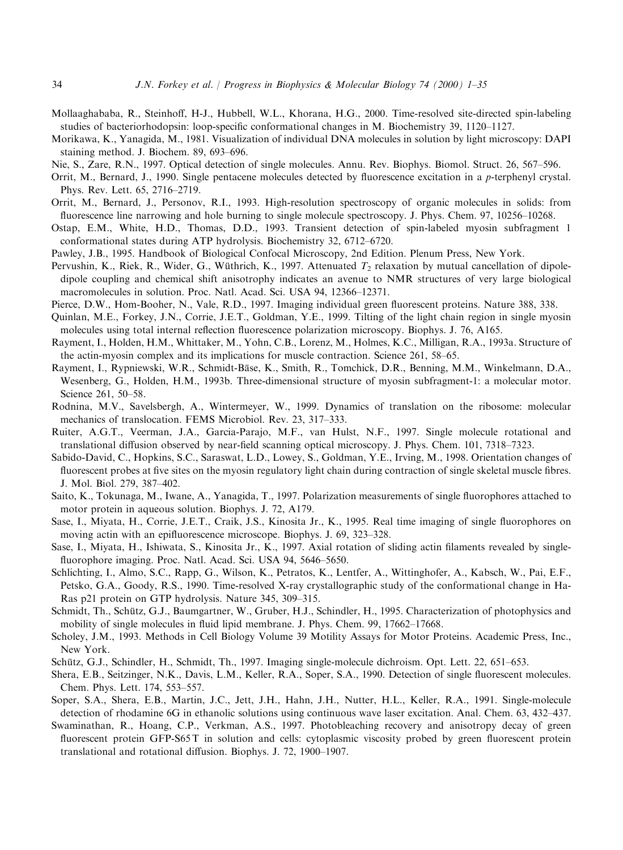- Mollaaghababa, R., Steinhoff, H-J., Hubbell, W.L., Khorana, H.G., 2000. Time-resolved site-directed spin-labeling studies of bacteriorhodopsin: loop-specific conformational changes in M. Biochemistry 39, 1120–1127.
- Morikawa, K., Yanagida, M., 1981. Visualization of individual DNA molecules in solution by light microscopy: DAPI staining method. J. Biochem. 89, 693–696.
- Nie, S., Zare, R.N., 1997. Optical detection of single molecules. Annu. Rev. Biophys. Biomol. Struct. 26, 567–596.
- Orrit, M., Bernard, J., 1990. Single pentacene molecules detected by fluorescence excitation in a p-terphenyl crystal. Phys. Rev. Lett. 65, 2716–2719.
- Orrit, M., Bernard, J., Personov, R.I., 1993. High-resolution spectroscopy of organic molecules in solids: from fluorescence line narrowing and hole burning to single molecule spectroscopy. J. Phys. Chem. 97, 10256–10268.
- Ostap, E.M., White, H.D., Thomas, D.D., 1993. Transient detection of spin-labeled myosin subfragment 1 conformational states during ATP hydrolysis. Biochemistry 32, 6712–6720.
- Pawley, J.B., 1995. Handbook of Biological Confocal Microscopy, 2nd Edition. Plenum Press, New York.
- Pervushin, K., Riek, R., Wider, G., Wüthrich, K., 1997. Attenuated  $T_2$  relaxation by mutual cancellation of dipoledipole coupling and chemical shift anisotrophy indicates an avenue to NMR structures of very large biological macromolecules in solution. Proc. Natl. Acad. Sci. USA 94, 12366–12371.
- Pierce, D.W., Hom-Booher, N., Vale, R.D., 1997. Imaging individual green fluorescent proteins. Nature 388, 338.
- Quinlan, M.E., Forkey, J.N., Corrie, J.E.T., Goldman, Y.E., 1999. Tilting of the light chain region in single myosin molecules using total internal reflection fluorescence polarization microscopy. Biophys. J. 76, A165.
- Rayment, I., Holden, H.M., Whittaker, M., Yohn, C.B., Lorenz, M., Holmes, K.C., Milligan, R.A., 1993a. Structure of the actin-myosin complex and its implications for muscle contraction. Science 261, 58–65.
- Rayment, I., Rypniewski, W.R., Schmidt-Bäse, K., Smith, R., Tomchick, D.R., Benning, M.M., Winkelmann, D.A., Wesenberg, G., Holden, H.M., 1993b. Three-dimensional structure of myosin subfragment-1: a molecular motor. Science 261, 50–58.
- Rodnina, M.V., Savelsbergh, A., Wintermeyer, W., 1999. Dynamics of translation on the ribosome: molecular mechanics of translocation. FEMS Microbiol. Rev. 23, 317–333.
- Ruiter, A.G.T., Veerman, J.A., Garcia-Parajo, M.F., van Hulst, N.F., 1997. Single molecule rotational and translational diffusion observed by near-field scanning optical microscopy. J. Phys. Chem. 101, 7318–7323.
- Sabido-David, C., Hopkins, S.C., Saraswat, L.D., Lowey, S., Goldman, Y.E., Irving, M., 1998. Orientation changes of fluorescent probes at five sites on the myosin regulatory light chain during contraction of single skeletal muscle fibres. J. Mol. Biol. 279, 387–402.
- Saito, K., Tokunaga, M., Iwane, A., Yanagida, T., 1997. Polarization measurements of single fluorophores attached to motor protein in aqueous solution. Biophys. J. 72, A179.
- Sase, I., Miyata, H., Corrie, J.E.T., Craik, J.S., Kinosita Jr., K., 1995. Real time imaging of single fluorophores on moving actin with an epifluorescence microscope. Biophys. J. 69, 323–328.
- Sase, I., Miyata, H., Ishiwata, S., Kinosita Jr., K., 1997. Axial rotation of sliding actin filaments revealed by singlefluorophore imaging. Proc. Natl. Acad. Sci. USA 94, 5646–5650.
- Schlichting, I., Almo, S.C., Rapp, G., Wilson, K., Petratos, K., Lentfer, A., Wittinghofer, A., Kabsch, W., Pai, E.F., Petsko, G.A., Goody, R.S., 1990. Time-resolved X-ray crystallographic study of the conformational change in Ha-Ras p21 protein on GTP hydrolysis. Nature 345, 309–315.
- Schmidt, Th., Schütz, G.J., Baumgartner, W., Gruber, H.J., Schindler, H., 1995. Characterization of photophysics and mobility of single molecules in fluid lipid membrane. J. Phys. Chem. 99, 17662–17668.
- Scholey, J.M., 1993. Methods in Cell Biology Volume 39 Motility Assays for Motor Proteins. Academic Press, Inc., New York.
- Schütz, G.J., Schindler, H., Schmidt, Th., 1997. Imaging single-molecule dichroism. Opt. Lett. 22, 651–653.
- Shera, E.B., Seitzinger, N.K., Davis, L.M., Keller, R.A., Soper, S.A., 1990. Detection of single fluorescent molecules. Chem. Phys. Lett. 174, 553–557.
- Soper, S.A., Shera, E.B., Martin, J.C., Jett, J.H., Hahn, J.H., Nutter, H.L., Keller, R.A., 1991. Single-molecule detection of rhodamine 6G in ethanolic solutions using continuous wave laser excitation. Anal. Chem. 63, 432–437.
- Swaminathan, R., Hoang, C.P., Verkman, A.S., 1997. Photobleaching recovery and anisotropy decay of green fluorescent protein GFP-S65 T in solution and cells: cytoplasmic viscosity probed by green fluorescent protein translational and rotational diffusion. Biophys. J. 72, 1900–1907.